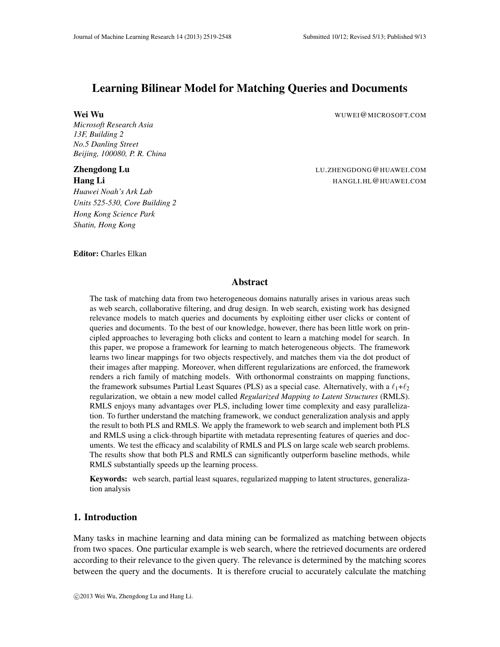# Learning Bilinear Model for Matching Queries and Documents

*Microsoft Research Asia 13F, Building 2 No.5 Danling Street Beijing, 100080, P. R. China*

*Huawei Noah's Ark Lab Units 525-530, Core Building 2 Hong Kong Science Park Shatin, Hong Kong*

Wei Wu WUWEI@MICROSOFT.COM

**Zhengdong Lu Changle Community Community Community Community Community Community Community Community Community Hang Li HANGLI.HL@HUAWEI.COM** 

Editor: Charles Elkan

## Abstract

The task of matching data from two heterogeneous domains naturally arises in various areas such as web search, collaborative filtering, and drug design. In web search, existing work has designed relevance models to match queries and documents by exploiting either user clicks or content of queries and documents. To the best of our knowledge, however, there has been little work on principled approaches to leveraging both clicks and content to learn a matching model for search. In this paper, we propose a framework for learning to match heterogeneous objects. The framework learns two linear mappings for two objects respectively, and matches them via the dot product of their images after mapping. Moreover, when different regularizations are enforced, the framework renders a rich family of matching models. With orthonormal constraints on mapping functions, the framework subsumes Partial Least Squares (PLS) as a special case. Alternatively, with a  $\ell_1 + \ell_2$ regularization, we obtain a new model called *Regularized Mapping to Latent Structures* (RMLS). RMLS enjoys many advantages over PLS, including lower time complexity and easy parallelization. To further understand the matching framework, we conduct generalization analysis and apply the result to both PLS and RMLS. We apply the framework to web search and implement both PLS and RMLS using a click-through bipartite with metadata representing features of queries and documents. We test the efficacy and scalability of RMLS and PLS on large scale web search problems. The results show that both PLS and RMLS can significantly outperform baseline methods, while RMLS substantially speeds up the learning process.

Keywords: web search, partial least squares, regularized mapping to latent structures, generalization analysis

## 1. Introduction

Many tasks in machine learning and data mining can be formalized as matching between objects from two spaces. One particular example is web search, where the retrieved documents are ordered according to their relevance to the given query. The relevance is determined by the matching scores between the query and the documents. It is therefore crucial to accurately calculate the matching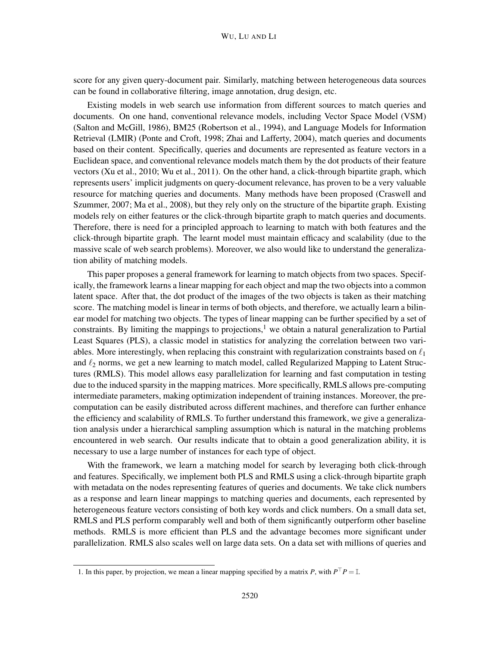score for any given query-document pair. Similarly, matching between heterogeneous data sources can be found in collaborative filtering, image annotation, drug design, etc.

Existing models in web search use information from different sources to match queries and documents. On one hand, conventional relevance models, including Vector Space Model (VSM) (Salton and McGill, 1986), BM25 (Robertson et al., 1994), and Language Models for Information Retrieval (LMIR) (Ponte and Croft, 1998; Zhai and Lafferty, 2004), match queries and documents based on their content. Specifically, queries and documents are represented as feature vectors in a Euclidean space, and conventional relevance models match them by the dot products of their feature vectors (Xu et al., 2010; Wu et al., 2011). On the other hand, a click-through bipartite graph, which represents users' implicit judgments on query-document relevance, has proven to be a very valuable resource for matching queries and documents. Many methods have been proposed (Craswell and Szummer, 2007; Ma et al., 2008), but they rely only on the structure of the bipartite graph. Existing models rely on either features or the click-through bipartite graph to match queries and documents. Therefore, there is need for a principled approach to learning to match with both features and the click-through bipartite graph. The learnt model must maintain efficacy and scalability (due to the massive scale of web search problems). Moreover, we also would like to understand the generalization ability of matching models.

This paper proposes a general framework for learning to match objects from two spaces. Specifically, the framework learns a linear mapping for each object and map the two objects into a common latent space. After that, the dot product of the images of the two objects is taken as their matching score. The matching model is linear in terms of both objects, and therefore, we actually learn a bilinear model for matching two objects. The types of linear mapping can be further specified by a set of constraints. By limiting the mappings to projections,<sup>1</sup> we obtain a natural generalization to Partial Least Squares (PLS), a classic model in statistics for analyzing the correlation between two variables. More interestingly, when replacing this constraint with regularization constraints based on  $\ell_1$ and  $\ell_2$  norms, we get a new learning to match model, called Regularized Mapping to Latent Structures (RMLS). This model allows easy parallelization for learning and fast computation in testing due to the induced sparsity in the mapping matrices. More specifically, RMLS allows pre-computing intermediate parameters, making optimization independent of training instances. Moreover, the precomputation can be easily distributed across different machines, and therefore can further enhance the efficiency and scalability of RMLS. To further understand this framework, we give a generalization analysis under a hierarchical sampling assumption which is natural in the matching problems encountered in web search. Our results indicate that to obtain a good generalization ability, it is necessary to use a large number of instances for each type of object.

With the framework, we learn a matching model for search by leveraging both click-through and features. Specifically, we implement both PLS and RMLS using a click-through bipartite graph with metadata on the nodes representing features of queries and documents. We take click numbers as a response and learn linear mappings to matching queries and documents, each represented by heterogeneous feature vectors consisting of both key words and click numbers. On a small data set, RMLS and PLS perform comparably well and both of them significantly outperform other baseline methods. RMLS is more efficient than PLS and the advantage becomes more significant under parallelization. RMLS also scales well on large data sets. On a data set with millions of queries and

<sup>1.</sup> In this paper, by projection, we mean a linear mapping specified by a matrix *P*, with  $P^{\top}P = \mathbb{I}$ .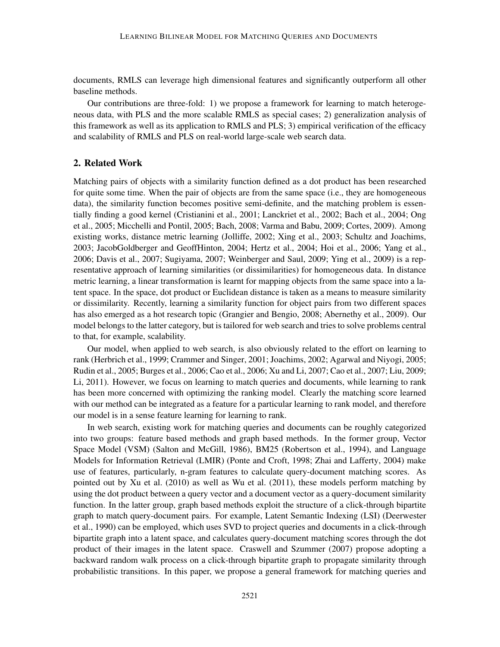documents, RMLS can leverage high dimensional features and significantly outperform all other baseline methods.

Our contributions are three-fold: 1) we propose a framework for learning to match heterogeneous data, with PLS and the more scalable RMLS as special cases; 2) generalization analysis of this framework as well as its application to RMLS and PLS; 3) empirical verification of the efficacy and scalability of RMLS and PLS on real-world large-scale web search data.

## 2. Related Work

Matching pairs of objects with a similarity function defined as a dot product has been researched for quite some time. When the pair of objects are from the same space (i.e., they are homogeneous data), the similarity function becomes positive semi-definite, and the matching problem is essentially finding a good kernel (Cristianini et al., 2001; Lanckriet et al., 2002; Bach et al., 2004; Ong et al., 2005; Micchelli and Pontil, 2005; Bach, 2008; Varma and Babu, 2009; Cortes, 2009). Among existing works, distance metric learning (Jolliffe, 2002; Xing et al., 2003; Schultz and Joachims, 2003; JacobGoldberger and GeoffHinton, 2004; Hertz et al., 2004; Hoi et al., 2006; Yang et al., 2006; Davis et al., 2007; Sugiyama, 2007; Weinberger and Saul, 2009; Ying et al., 2009) is a representative approach of learning similarities (or dissimilarities) for homogeneous data. In distance metric learning, a linear transformation is learnt for mapping objects from the same space into a latent space. In the space, dot product or Euclidean distance is taken as a means to measure similarity or dissimilarity. Recently, learning a similarity function for object pairs from two different spaces has also emerged as a hot research topic (Grangier and Bengio, 2008; Abernethy et al., 2009). Our model belongs to the latter category, but is tailored for web search and tries to solve problems central to that, for example, scalability.

Our model, when applied to web search, is also obviously related to the effort on learning to rank (Herbrich et al., 1999; Crammer and Singer, 2001; Joachims, 2002; Agarwal and Niyogi, 2005; Rudin et al., 2005; Burges et al., 2006; Cao et al., 2006; Xu and Li, 2007; Cao et al., 2007; Liu, 2009; Li, 2011). However, we focus on learning to match queries and documents, while learning to rank has been more concerned with optimizing the ranking model. Clearly the matching score learned with our method can be integrated as a feature for a particular learning to rank model, and therefore our model is in a sense feature learning for learning to rank.

In web search, existing work for matching queries and documents can be roughly categorized into two groups: feature based methods and graph based methods. In the former group, Vector Space Model (VSM) (Salton and McGill, 1986), BM25 (Robertson et al., 1994), and Language Models for Information Retrieval (LMIR) (Ponte and Croft, 1998; Zhai and Lafferty, 2004) make use of features, particularly, n-gram features to calculate query-document matching scores. As pointed out by Xu et al. (2010) as well as Wu et al. (2011), these models perform matching by using the dot product between a query vector and a document vector as a query-document similarity function. In the latter group, graph based methods exploit the structure of a click-through bipartite graph to match query-document pairs. For example, Latent Semantic Indexing (LSI) (Deerwester et al., 1990) can be employed, which uses SVD to project queries and documents in a click-through bipartite graph into a latent space, and calculates query-document matching scores through the dot product of their images in the latent space. Craswell and Szummer (2007) propose adopting a backward random walk process on a click-through bipartite graph to propagate similarity through probabilistic transitions. In this paper, we propose a general framework for matching queries and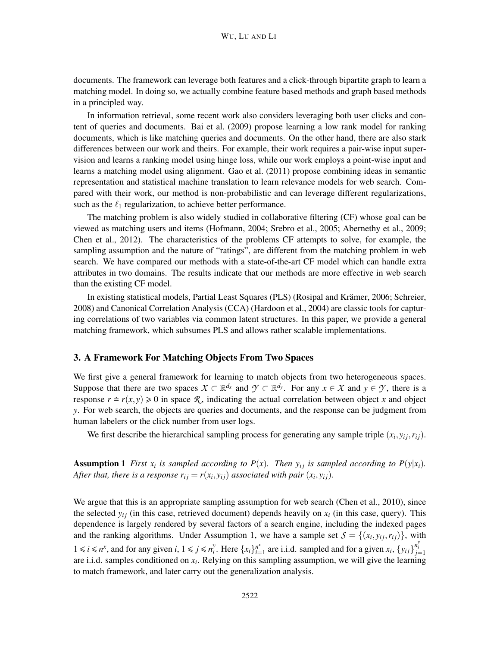documents. The framework can leverage both features and a click-through bipartite graph to learn a matching model. In doing so, we actually combine feature based methods and graph based methods in a principled way.

In information retrieval, some recent work also considers leveraging both user clicks and content of queries and documents. Bai et al. (2009) propose learning a low rank model for ranking documents, which is like matching queries and documents. On the other hand, there are also stark differences between our work and theirs. For example, their work requires a pair-wise input supervision and learns a ranking model using hinge loss, while our work employs a point-wise input and learns a matching model using alignment. Gao et al. (2011) propose combining ideas in semantic representation and statistical machine translation to learn relevance models for web search. Compared with their work, our method is non-probabilistic and can leverage different regularizations, such as the  $\ell_1$  regularization, to achieve better performance.

The matching problem is also widely studied in collaborative filtering (CF) whose goal can be viewed as matching users and items (Hofmann, 2004; Srebro et al., 2005; Abernethy et al., 2009; Chen et al., 2012). The characteristics of the problems CF attempts to solve, for example, the sampling assumption and the nature of "ratings", are different from the matching problem in web search. We have compared our methods with a state-of-the-art CF model which can handle extra attributes in two domains. The results indicate that our methods are more effective in web search than the existing CF model.

In existing statistical models, Partial Least Squares (PLS) (Rosipal and Krämer, 2006; Schreier, 2008) and Canonical Correlation Analysis (CCA) (Hardoon et al., 2004) are classic tools for capturing correlations of two variables via common latent structures. In this paper, we provide a general matching framework, which subsumes PLS and allows rather scalable implementations.

#### 3. A Framework For Matching Objects From Two Spaces

We first give a general framework for learning to match objects from two heterogeneous spaces. Suppose that there are two spaces  $X \subset \mathbb{R}^{d_x}$  and  $\mathcal{Y} \subset \mathbb{R}^{d_y}$ . For any  $x \in \mathcal{X}$  and  $y \in \mathcal{Y}$ , there is a response  $r = r(x, y) \ge 0$  in space R, indicating the actual correlation between object *x* and object *y*. For web search, the objects are queries and documents, and the response can be judgment from human labelers or the click number from user logs.

We first describe the hierarchical sampling process for generating any sample triple  $(x_i, y_{ij}, r_{ij})$ .

Assumption 1 *First*  $x_i$  *is sampled according to P(x). Then*  $y_{ij}$  *is sampled according to P(y|x<sub>i</sub>)*. *After that, there is a response*  $r_{ij} = r(x_i, y_{ij})$  *associated with pair*  $(x_i, y_{ij})$ .

We argue that this is an appropriate sampling assumption for web search (Chen et al., 2010), since the selected  $y_{ij}$  (in this case, retrieved document) depends heavily on  $x_i$  (in this case, query). This dependence is largely rendered by several factors of a search engine, including the indexed pages and the ranking algorithms. Under Assumption 1, we have a sample set  $S = \{(x_i, y_{ij}, r_{ij})\}$ , with  $1 \le i \le n^x$ , and for any given *i*,  $1 \le j \le n^y$ *y*. Here  $\{x_i\}_{i=1}^{n^x}$  $\sum_{i=1}^{n^x}$  are i.i.d. sampled and for a given  $x_i$ ,  $\{y_{ij}\}_{j=1}^{n^y_i}$ are i.i.d. samples conditioned on *x<sup>i</sup>* . Relying on this sampling assumption, we will give the learning to match framework, and later carry out the generalization analysis.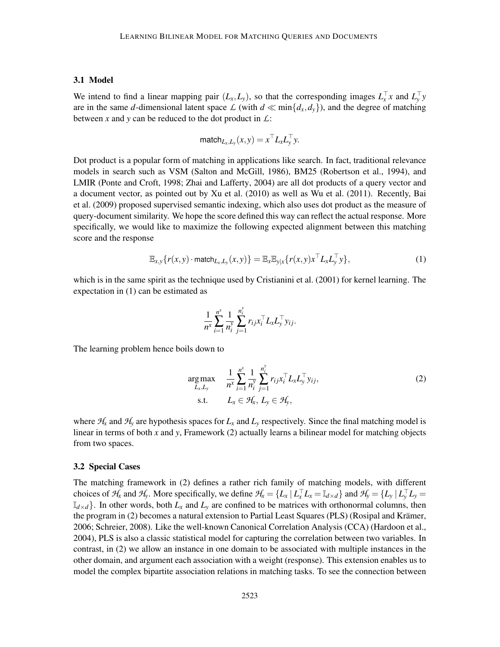#### 3.1 Model

We intend to find a linear mapping pair  $(L_x, L_y)$ , so that the corresponding images  $L_x^{\perp} x$  and  $L_y^{\perp} y$ are in the same *d*-dimensional latent space  $\mathcal{L}$  (with  $d \ll \min\{d_x, d_y\}$ ), and the degree of matching between *x* and *y* can be reduced to the dot product in *L*:

$$
\text{match}_{L_x,L_y}(x,y) = x^\top L_x L_y^\top y.
$$

Dot product is a popular form of matching in applications like search. In fact, traditional relevance models in search such as VSM (Salton and McGill, 1986), BM25 (Robertson et al., 1994), and LMIR (Ponte and Croft, 1998; Zhai and Lafferty, 2004) are all dot products of a query vector and a document vector, as pointed out by Xu et al. (2010) as well as Wu et al. (2011). Recently, Bai et al. (2009) proposed supervised semantic indexing, which also uses dot product as the measure of query-document similarity. We hope the score defined this way can reflect the actual response. More specifically, we would like to maximize the following expected alignment between this matching score and the response

$$
\mathbb{E}_{x,y}\{r(x,y)\cdot \text{match}_{L_x,L_y}(x,y)\} = \mathbb{E}_x \mathbb{E}_{y|x}\{r(x,y)x^\top L_x L_y^\top y\},\tag{1}
$$

which is in the same spirit as the technique used by Cristianini et al. (2001) for kernel learning. The expectation in (1) can be estimated as

$$
\frac{1}{n^x}\sum_{i=1}^{n^x}\frac{1}{n_i^y}\sum_{j=1}^{n_i^y}r_{ij}x_i^\top L_xL_y^\top y_{ij}.
$$

The learning problem hence boils down to

$$
\underset{L_x, L_y}{\text{arg max}} \quad \frac{1}{n^x} \sum_{i=1}^{n^x} \frac{1}{n_i^y} \sum_{j=1}^{n_i^y} r_{ij} x_i^\top L_x L_y^\top y_{ij},
$$
\n
$$
\text{s.t.} \quad L_x \in \mathcal{H}_x, L_y \in \mathcal{H}_y,
$$
\n
$$
(2)
$$

where  $H_x$  and  $H_y$  are hypothesis spaces for  $L_x$  and  $L_y$  respectively. Since the final matching model is linear in terms of both *x* and *y*, Framework (2) actually learns a bilinear model for matching objects from two spaces.

#### 3.2 Special Cases

The matching framework in (2) defines a rather rich family of matching models, with different choices of  $H_x$  and  $H_y$ . More specifically, we define  $H_x = \{L_x | L_x^{\top} L_x = \mathbb{I}_{d \times d}\}\$  and  $H_y = \{L_y | L_y^{\top} L_y =$  $\mathbb{I}_{d \times d}$ . In other words, both  $L_x$  and  $L_y$  are confined to be matrices with orthonormal columns, then the program in (2) becomes a natural extension to Partial Least Squares (PLS) (Rosipal and Krämer, 2006; Schreier, 2008). Like the well-known Canonical Correlation Analysis (CCA) (Hardoon et al., 2004), PLS is also a classic statistical model for capturing the correlation between two variables. In contrast, in (2) we allow an instance in one domain to be associated with multiple instances in the other domain, and argument each association with a weight (response). This extension enables us to model the complex bipartite association relations in matching tasks. To see the connection between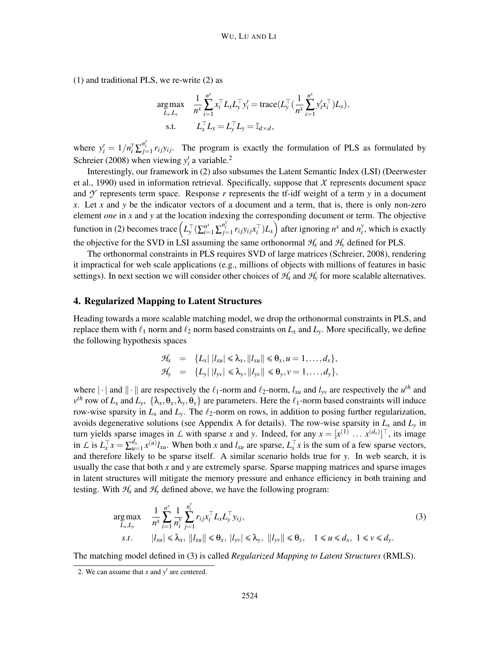(1) and traditional PLS, we re-write (2) as

$$
\arg \max_{L_x, L_y} \quad \frac{1}{n^x} \sum_{i=1}^{n^x} x_i^\top L_x L_y^\top y_i' = \text{trace}(L_y^\top (\frac{1}{n^x} \sum_{i=1}^{n^x} y_i' x_i^\top) L_x),
$$
  
s.t. 
$$
L_x^\top L_x = L_y^\top L_y = \mathbb{I}_{d \times d},
$$

where  $y'_i = 1/n_i^y \sum_{j=1}^{n_i^y} r_{ij} y_{ij}$ . The program is exactly the formulation of PLS as formulated by Schreier (2008) when viewing  $y'_i$  a variable.<sup>2</sup>

Interestingly, our framework in (2) also subsumes the Latent Semantic Index (LSI) (Deerwester et al., 1990) used in information retrieval. Specifically, suppose that *X* represents document space and  $\gamma$  represents term space. Response r represents the tf-idf weight of a term  $\gamma$  in a document *x*. Let *x* and *y* be the indicator vectors of a document and a term, that is, there is only non-zero element *one* in *x* and *y* at the location indexing the corresponding document or term. The objective function in (2) becomes trace  $(L_y^{\top}(\sum_{i=1}^{n^x} \sum_{j=1}^{n_i^y} r_{ij}y_{ij}x_i^{\top})L_x)$  after ignoring  $n^x$  and  $n_i^y$  $i<sub>i</sub>$ , which is exactly the objective for the SVD in LSI assuming the same orthonormal  $H_x$  and  $H_y$  defined for PLS.

The orthonormal constraints in PLS requires SVD of large matrices (Schreier, 2008), rendering it impractical for web scale applications (e.g., millions of objects with millions of features in basic settings). In next section we will consider other choices of  $H<sub>x</sub>$  and  $H<sub>y</sub>$  for more scalable alternatives.

#### 4. Regularized Mapping to Latent Structures

Heading towards a more scalable matching model, we drop the orthonormal constraints in PLS, and replace them with  $\ell_1$  norm and  $\ell_2$  norm based constraints on  $L_x$  and  $L_y$ . More specifically, we define the following hypothesis spaces

$$
\mathcal{H}_x = \{L_x | |l_{xu}| \le \lambda_x, ||l_{xu}|| \le \theta_x, u = 1, \dots, d_x\},
$$
  

$$
\mathcal{H}_y = \{L_y | |l_{yv}| \le \lambda_y, ||l_{yv}|| \le \theta_y, v = 1, \dots, d_y\},
$$

where  $\|\cdot\|$  and  $\|\cdot\|$  are respectively the  $\ell_1$ -norm and  $\ell_2$ -norm,  $l_{xu}$  and  $l_{yv}$  are respectively the  $u^{th}$  and  $v^{th}$  row of *L<sub>x</sub>* and *L<sub>y</sub>*, { $\lambda_x$ , $\theta_x$ , $\lambda_y$ , $\theta_y$ } are parameters. Here the  $\ell_1$ -norm based constraints will induce row-wise sparsity in  $L_x$  and  $L_y$ . The  $\ell_2$ -norm on rows, in addition to posing further regularization, avoids degenerative solutions (see Appendix A for details). The row-wise sparsity in  $L_x$  and  $L_y$  in turn yields sparse images in *L* with sparse *x* and *y*. Indeed, for any  $x = [x^{(1)} \dots x^{(d_x)}]^\top$ , its image in L is  $L_x^{\top} x = \sum_{u=1}^{d_x} x^{(u)} l_{xu}$ . When both x and  $l_{xu}$  are sparse,  $L_x^{\top} x$  is the sum of a few sparse vectors, and therefore likely to be sparse itself. A similar scenario holds true for *y*. In web search, it is usually the case that both *x* and *y* are extremely sparse. Sparse mapping matrices and sparse images in latent structures will mitigate the memory pressure and enhance efficiency in both training and testing. With  $H_x$  and  $H_y$  defined above, we have the following program:

$$
\underset{L_x, L_y}{\arg \max} \quad \frac{1}{n^x} \sum_{i=1}^{n^x} \frac{1}{n_i^y} \sum_{j=1}^{n_i^y} r_{ij} x_i^\top L_x L_y^\top y_{ij},
$$
\n
$$
s.t. \quad |l_{xu}| \leq \lambda_x, \quad \|l_{xu}\| \leq \theta_x, \quad |l_{yv}| \leq \lambda_y, \quad \|l_{yv}\| \leq \theta_y, \quad 1 \leq u \leq d_x, \quad 1 \leq v \leq d_y.
$$
\n
$$
(3)
$$

The matching model defined in (3) is called *Regularized Mapping to Latent Structures* (RMLS).

<sup>2.</sup> We can assume that  $x$  and  $y'$  are centered.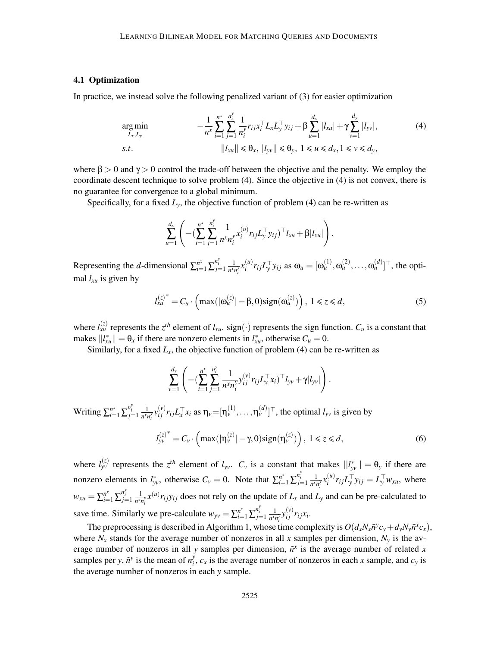#### 4.1 Optimization

In practice, we instead solve the following penalized variant of (3) for easier optimization

$$
\underset{L_x, L_y}{\arg \min} \qquad -\frac{1}{n^x} \sum_{i=1}^{n^x} \sum_{j=1}^{n^y_i} \frac{1}{n^y_i} r_{ij} x_i^\top L_x L_y^\top y_{ij} + \beta \sum_{u=1}^{d_x} |l_{xu}| + \gamma \sum_{v=1}^{d_y} |l_{yv}|, s.t. \qquad ||l_{xu}|| \leq \theta_x, ||l_{yv}|| \leq \theta_y, \ 1 \leq u \leq d_x, \ 1 \leq v \leq d_y,
$$
\n
$$
(4)
$$

where  $\beta > 0$  and  $\gamma > 0$  control the trade-off between the objective and the penalty. We employ the coordinate descent technique to solve problem (4). Since the objective in (4) is not convex, there is no guarantee for convergence to a global minimum.

Specifically, for a fixed  $L<sub>y</sub>$ , the objective function of problem (4) can be re-written as

$$
\sum_{u=1}^{d_x} \left( -(\sum_{i=1}^{n^x} \sum_{j=1}^{n_i^y} \frac{1}{n^x n_i^y} x_i^{(u)} r_{ij} L_y^{\top} y_{ij})^{\top} l_{xu} + \beta |l_{xu}| \right).
$$

Representing the *d*-dimensional  $\sum_{i=1}^{n^x} \sum_{j=1}^{n^y_i} \frac{1}{n^{x_j}}$  $\frac{1}{n^x n_i^y} x_i^{(u)}$  $\omega_i^{(u)} r_{ij} L_y^{\top} y_{ij}$  as  $\omega_u = [\omega_u^{(1)}, \omega_u^{(2)}, \dots, \omega_u^{(d)}]^{\top}$ , the optimal *lxu* is given by

$$
l_{xu}^{(z)^{*}} = C_{u} \cdot \left( \max(|\omega_{u}^{(z)}| - \beta, 0) \text{sign}(\omega_{u}^{(z)}) \right), \ 1 \le z \le d, \tag{5}
$$

where  $l_{xu}^{(z)}$  represents the  $z^{th}$  element of  $l_{xu}$ . sign(·) represents the sign function.  $C_u$  is a constant that makes  $||l_{x}^{*}|| = \theta_{x}$  if there are nonzero elements in  $l_{x}^{*}$ , otherwise  $C_{u} = 0$ .

Similarly, for a fixed  $L_x$ , the objective function of problem (4) can be re-written as

$$
\sum_{\nu=1}^{d_{\mathcal{Y}}} \left( -(\sum_{i=1}^{n^{\mathcal{X}}}\sum_{j=1}^{n^{\mathcal{Y}}_{i}}\frac{1}{n^{\mathcal{X}}n^{\mathcal{Y}}_{i}}y_{ij}^{(\nu)}r_{ij}L_{x}^{\top}x_{i})^{\top}l_{\mathcal{Y}\mathcal{V}} + \gamma |l_{\mathcal{Y}\mathcal{V}}| \right).
$$

Writing  $\sum_{i=1}^{n^x} \sum_{j=1}^{n^y_i} \frac{1}{n^{x_i}}$  $\frac{1}{n^x n_i^y} y_{ij}^{(v)} r_{ij} L_x^{\top} x_i$  as  $\eta_v = [\eta_v^{(1)}, \dots, \eta_v^{(d)}]^{\top}$ , the optimal  $l_{yv}$  is given by

$$
l_{yv}^{(z)^*} = C_v \cdot \left( \max(|\eta_v^{(z)}| - \gamma, 0) \text{sign}(\eta_v^{(z)}) \right), \ 1 \le z \le d, \tag{6}
$$

where  $l_{yy}^{(z)}$  represents the  $z^{th}$  element of  $l_{yy}$ .  $C_y$  is a constant that makes  $||l_{yy}^*|| = \theta_y$  if there are nonzero elements in  $l_{yy}^*$ , otherwise  $C_v = 0$ . Note that  $\sum_{i=1}^{n^x} \sum_{j=1}^{n^y} \frac{1}{n^{x_j}}$  $\frac{1}{n^x n_i^y} x_i^{(u)}$  $\int_i^{(u)} r_{ij} L_y^{\dagger} y_{ij} = L_y^{\dagger} w_{xu}$ , where  $w_{xu} = \sum_{i=1}^{n^x} \sum_{j=1}^{n^y_i} \frac{1}{n^{x_j}}$  $\frac{1}{n^x n_i^y}$  *x*<sup>(*u*)</sup>*r*<sub>*i*</sub></sup>*yi*<sub>*j*</sub> does not rely on the update of *L<sub>x</sub>* and *L<sub>y</sub>* and can be pre-calculated to save time. Similarly we pre-calculate  $w_{yy} = \sum_{i=1}^{n^x} \sum_{j=1}^{n_i^y} \frac{1}{n^{x_j}}$  $\frac{1}{n^x n_i^y} y_{ij}^{(v)} r_{ij} x_i$ .

The preprocessing is described in Algorithm 1, whose time complexity is  $O(d_xN_x\tilde{n}^yc_y+d_yN_y\tilde{n}^xc_x)$ , where  $N_x$  stands for the average number of nonzeros in all x samples per dimension,  $N_y$  is the average number of nonzeros in all *y* samples per dimension,  $\tilde{n}^x$  is the average number of related *x* samples per *y*,  $\tilde{n}$ <sup>*y*</sup> is the mean of  $n_i^y$  $c_x$  is the average number of nonzeros in each *x* sample, and  $c_y$  is the average number of nonzeros in each *y* sample.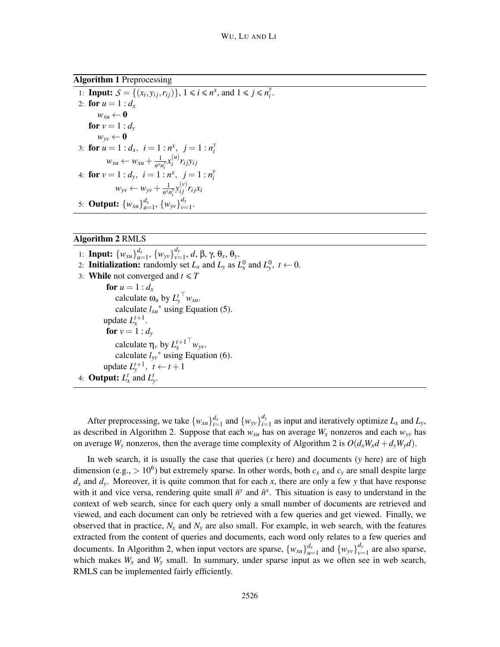*i* .

Algorithm 1 Preprocessing

1: **Input:**  $S = \{(x_i, y_{ij}, r_{ij})\}, 1 \le i \le n^x, \text{ and } 1 \le j \le n^y$ 2: **for**  $u = 1 : d_x$  $w_{xu} \leftarrow \mathbf{0}$ for  $v = 1 : d_v$  $w_{yy} \leftarrow 0$ 3: **for**  $u = 1 : d_x, i = 1 : n^x, j = 1 : n^y$ *i*  $w_{xu} \leftarrow w_{xu} + \frac{1}{n^{x}v}$  $\frac{1}{n^x n_i^y} x_i^{(u)}$ 4: **for**  $v = 1 : d_y$ ,  $i = 1 : n^x$ ,  $j = 1 : n^y$  $\int_i^{(u)} r_{ij} y_{ij}$ *i*  $w_{yy} \leftarrow w_{yy} + \frac{1}{n^{x}y}$  $\frac{1}{n^x n_i^y} y_{ij}^{(v)} r_{ij} x_i$ 5: **Output:**  $\{w_{xu}\}_{u=1}^{d_x}, \{w_{yv}\}_{v=1}^{d_y}$  $\frac{u_y}{v=1}$ .

## Algorithm 2 RMLS

1: **Input:**  $\{w_{xu}\}_{u=1}^{d_x}, \{w_{yv}\}_{v=1}^{d_y}$ *v*=1 , *d*, β, γ, θ*x*, θ*y*. 2: **Initialization:** randomly set  $L_x$  and  $L_y$  as  $L_x^0$  and  $L_y^0$ ,  $t \leftarrow 0$ . 3: **While** not converged and  $t \leq T$ for  $u = 1 : d_x$ calculate  $\omega_u$  by  $L_y^t$ <sup>T</sup>  $w_{xu}$ . calculate  $l_{xu}^*$  using Equation (5). update  $L_x^{t+1}$ . **for**  $v = 1 : d_v$ calculate  $\eta_v$  by  $L_x^{t+1}$ <sup> $\psi_v$ </sup>*w*<sub>*yv*</sub>. calculate  $l_{yv}$ <sup>\*</sup> using Equation (6). update  $L_y^{t+1}$ ,  $t \leftarrow t+1$ 4: **Output:**  $L_x^t$  and  $L_y^t$ .

After preprocessing, we take  $\{w_{xu}\}_{i=1}^{d_x}$  and  $\{w_{yv}\}_{i=1}^{d_y}$  $\sum_{i=1}^{a_y}$  as input and iteratively optimize  $L_x$  and  $L_y$ , as described in Algorithm 2. Suppose that each  $w_{xu}$  has on average  $W_x$  nonzeros and each  $w_{yv}$  has on average  $W_v$  nonzeros, then the average time complexity of Algorithm 2 is  $O(d_xW_xd + d_vW_vd)$ .

In web search, it is usually the case that queries (*x* here) and documents (*y* here) are of high dimension (e.g.,  $> 10^6$ ) but extremely sparse. In other words, both  $c_x$  and  $c_y$  are small despite large  $d_x$  and  $d_y$ . Moreover, it is quite common that for each *x*, there are only a few *y* that have response with it and vice versa, rendering quite small  $\tilde{n}^y$  and  $\tilde{n}^x$ . This situation is easy to understand in the context of web search, since for each query only a small number of documents are retrieved and viewed, and each document can only be retrieved with a few queries and get viewed. Finally, we observed that in practice,  $N_x$  and  $N_y$  are also small. For example, in web search, with the features extracted from the content of queries and documents, each word only relates to a few queries and documents. In Algorithm 2, when input vectors are sparse,  $\{w_{xu}\}_{u=1}^{d_x}$  and  $\{w_{yy}\}_{y=1}^{d_y}$  $v_{\nu=1}^{a_y}$  are also sparse, which makes  $W_x$  and  $W_y$  small. In summary, under sparse input as we often see in web search, RMLS can be implemented fairly efficiently.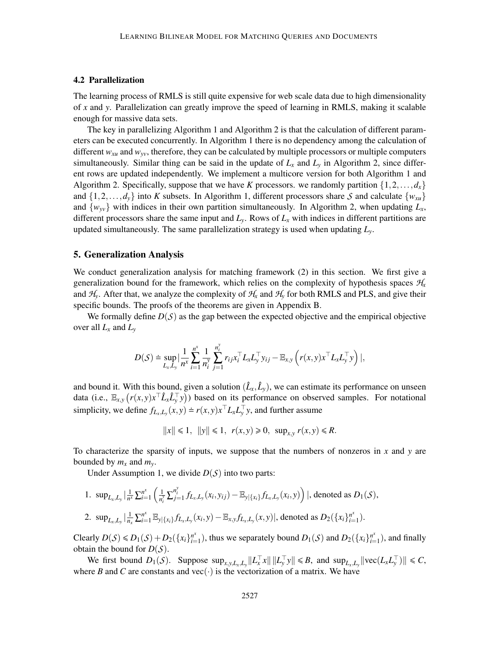#### 4.2 Parallelization

The learning process of RMLS is still quite expensive for web scale data due to high dimensionality of *x* and *y*. Parallelization can greatly improve the speed of learning in RMLS, making it scalable enough for massive data sets.

The key in parallelizing Algorithm 1 and Algorithm 2 is that the calculation of different parameters can be executed concurrently. In Algorithm 1 there is no dependency among the calculation of different *wxu* and *wyv*, therefore, they can be calculated by multiple processors or multiple computers simultaneously. Similar thing can be said in the update of  $L<sub>x</sub>$  and  $L<sub>y</sub>$  in Algorithm 2, since different rows are updated independently. We implement a multicore version for both Algorithm 1 and Algorithm 2. Specifically, suppose that we have *K* processors. we randomly partition  $\{1,2,\ldots,d_x\}$ and  $\{1,2,\ldots,d_v\}$  into *K* subsets. In Algorithm 1, different processors share *S* and calculate  $\{w_{xu}\}$ and  $\{w_{yy}\}$  with indices in their own partition simultaneously. In Algorithm 2, when updating  $L_x$ , different processors share the same input and  $L_y$ . Rows of  $L_x$  with indices in different partitions are updated simultaneously. The same parallelization strategy is used when updating *Ly*.

#### 5. Generalization Analysis

We conduct generalization analysis for matching framework (2) in this section. We first give a generalization bound for the framework, which relies on the complexity of hypothesis spaces  $H<sub>x</sub>$ and  $H_v$ . After that, we analyze the complexity of  $H_x$  and  $H_v$  for both RMLS and PLS, and give their specific bounds. The proofs of the theorems are given in Appendix B.

We formally define  $D(S)$  as the gap between the expected objective and the empirical objective over all *L<sup>x</sup>* and *L<sup>y</sup>*

$$
D(\mathcal{S}) \doteq \sup_{L_x, L_y} \Big| \frac{1}{n^x} \sum_{i=1}^{n^x} \frac{1}{n_i^y} \sum_{j=1}^{n_i^y} r_{ij} x_i^\top L_x L_y^\top y_{ij} - \mathbb{E}_{x,y} \left( r(x, y) x^\top L_x L_y^\top y \right) \Big|,
$$

and bound it. With this bound, given a solution  $(\hat{L}_x, \hat{L}_y)$ , we can estimate its performance on unseen data (i.e.,  $\mathbb{E}_{x,y}\left(r(x,y)x^\top \hat{L}_x \hat{L}_y^\top y\right)$ ) based on its performance on observed samples. For notational simplicity, we define  $f_{L_x,L_y}(x, y) \doteq r(x, y)x$ <sup>T</sup> $L_xL_y$ <sup>T</sup>y, and further assume

$$
||x|| \le 1
$$
,  $||y|| \le 1$ ,  $r(x,y) \ge 0$ ,  $\sup_{x,y} r(x,y) \le R$ .

To characterize the sparsity of inputs, we suppose that the numbers of nonzeros in *x* and *y* are bounded by  $m_x$  and  $m_y$ .

Under Assumption 1, we divide  $D(S)$  into two parts:

1. 
$$
\sup_{L_x, L_y} \left| \frac{1}{n^x} \sum_{i=1}^{n^x} \left( \frac{1}{n_i^y} \sum_{j=1}^{n_i^y} f_{L_x, L_y}(x_i, y_{ij}) - \mathbb{E}_{y | \{x_i\}} f_{L_x, L_y}(x_i, y) \right) \right|
$$
, denoted as  $D_1(S)$ ,  
\n2.  $\sup_{L_x, L_y} \left| \frac{1}{n_x} \sum_{i=1}^{n^x} \mathbb{E}_{y | \{x_i\}} f_{L_x, L_y}(x_i, y) - \mathbb{E}_{x, y} f_{L_x, L_y}(x, y) \right|$ , denoted as  $D_2(\{x_i\}_{i=1}^{n^x})$ .

 $\text{Clearly } D(S) \le D_1(S) + D_2(\{x_i\}_{i=1}^{n^x})$  $\sum_{i=1}^{n^x}$ ), thus we separately bound  $D_1(S)$  and  $D_2(\lbrace x_i \rbrace_{i=1}^{n^x})$  $\binom{n^k}{k-1}$ , and finally obtain the bound for  $D(S)$ .

We first bound  $D_1(S)$ . Suppose  $\sup_{x,y,L_x,L_y} ||L_x^{\top}x|| ||L_y^{\top}y|| \le B$ , and  $\sup_{L_x,L_y} ||\text{vec}(L_xL_y^{\top})|| \le C$ , where *B* and *C* are constants and vec( $\cdot$ ) is the vectorization of a matrix. We have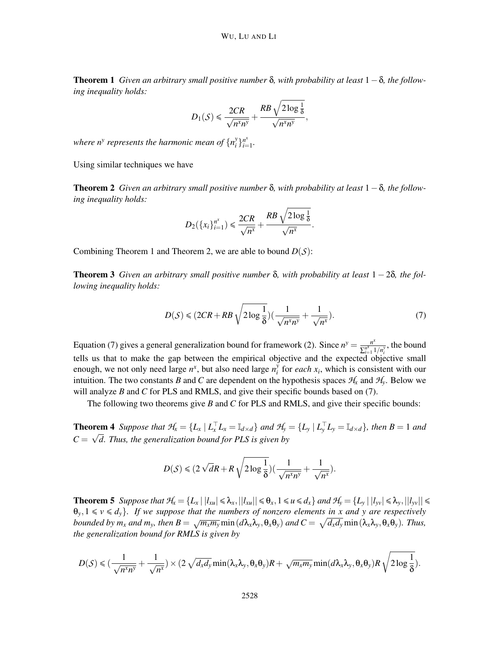Theorem 1 *Given an arbitrary small positive number* δ*, with probability at least* 1−δ*, the following inequality holds:*

$$
D_1(\mathcal{S}) \leq \frac{2CR}{\sqrt{n^x n^y}} + \frac{RB\sqrt{2\log\frac{1}{\delta}}}{\sqrt{n^x n^y}},
$$

where  $n^y$  represents the harmonic mean of  $\{n^y_i\}$  $\binom{y}{i}$   $\binom{n^x}{i}$  $\sum_{i=1}^{n^x}$ 

Using similar techniques we have

Theorem 2 *Given an arbitrary small positive number* δ*, with probability at least* 1−δ*, the following inequality holds:*

$$
D_2(\lbrace x_i \rbrace_{i=1}^{n^x}) \leqslant \frac{2CR}{\sqrt{n^x}} + \frac{RB\sqrt{2\log\frac{1}{\delta}}}{\sqrt{n^x}}.
$$

Combining Theorem 1 and Theorem 2, we are able to bound *D*(*S*):

**Theorem 3** Given an arbitrary small positive number  $\delta$ , with probability at least  $1-2\delta$ , the fol*lowing inequality holds:*

$$
D(S) \leq (2CR + RB\sqrt{2\log\frac{1}{\delta}})\left(\frac{1}{\sqrt{n^x n^y}} + \frac{1}{\sqrt{n^x}}\right). \tag{7}
$$

Equation (7) gives a general generalization bound for framework (2). Since  $n^y = \frac{n^x}{\sqrt{n^x}}$  $\frac{n^x}{\sum_{i=1}^{n^x} 1/n_i^y}$ , the bound tells us that to make the gap between the empirical objective and the expected objective small enough, we not only need large  $n^x$ , but also need large  $n_i^y$  $\int_{i}^{y}$  for *each*  $x_i$ , which is consistent with our intuition. The two constants *B* and *C* are dependent on the hypothesis spaces  $H_x$  and  $H_y$ . Below we will analyze *B* and *C* for PLS and RMLS, and give their specific bounds based on (7).

The following two theorems give *B* and *C* for PLS and RMLS, and give their specific bounds:

**Theorem 4** Suppose that  $\mathcal{H}_x = \{L_x \mid L_x^\top L_x = \mathbb{I}_{d \times d}\}\$  and  $\mathcal{H}_y = \{L_y \mid L_y^\top L_y = \mathbb{I}_{d \times d}\}\$ , then  $B = 1$  and  $C = \sqrt{d}$ . Thus, the generalization bound for PLS is given by

$$
D(S) \leq (2\sqrt{d}R + R\sqrt{2\log\frac{1}{\delta}})(\frac{1}{\sqrt{n^x n^y}} + \frac{1}{\sqrt{n^x}}).
$$

**Theorem 5** Suppose that  $\mathcal{H}_x = \{L_x \mid |l_{xu}| \leq \lambda_x, ||l_{xu}|| \leq \theta_x, 1 \leq u \leq d_x\}$  and  $\mathcal{H}_y = \{L_y \mid |l_{yy}| \leq \lambda_y, ||l_{yy}|| \leq \lambda_y, ||l_{yy}|| \leq \lambda_y, ||l_{yy}|| \leq \lambda_y, ||l_{yy}|| \leq \lambda_y, ||l_{yy}|| \leq \lambda_y, ||l_{yy}|| \leq \lambda_y, ||l_{yy}|| \leq \lambda_y, ||l_{yy}|| \leq \lambda_y, ||l_{yy$  $\theta_y, 1 \leq v \leq d_y$ *}. If we suppose that the numbers of nonzero elements in x and y are respectively* bounded by  $m_x$  and  $m_y$ , then  $B = \sqrt{m_x m_y} \min (d\lambda_x \lambda_y, \theta_x \theta_y)$  and  $C = \sqrt{d_x d_y} \min (\lambda_x \lambda_y, \theta_x \theta_y)$ . Thus, *the generalization bound for RMLS is given by*

$$
D(S) \leqslant \left(\frac{1}{\sqrt{n^x n^y}} + \frac{1}{\sqrt{n^x}}\right) \times \left(2\sqrt{d_x d_y} \min(\lambda_x \lambda_y, \theta_x \theta_y)R + \sqrt{m_x m_y} \min(d\lambda_x \lambda_y, \theta_x \theta_y)R \sqrt{2\log\frac{1}{\delta}}\right).
$$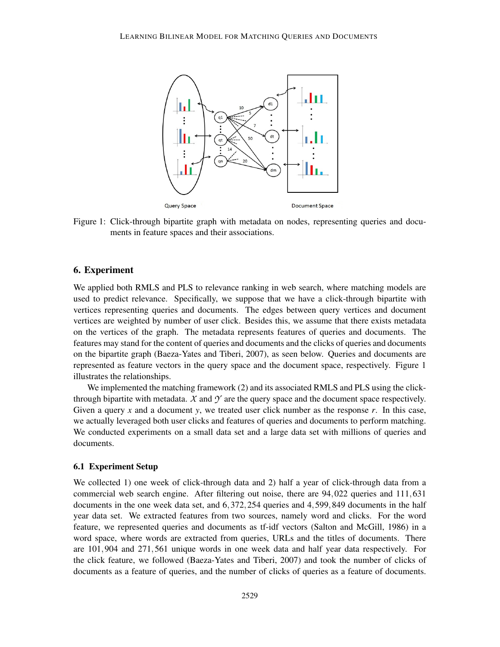

Figure 1: Click-through bipartite graph with metadata on nodes, representing queries and documents in feature spaces and their associations.

## 6. Experiment

We applied both RMLS and PLS to relevance ranking in web search, where matching models are used to predict relevance. Specifically, we suppose that we have a click-through bipartite with vertices representing queries and documents. The edges between query vertices and document vertices are weighted by number of user click. Besides this, we assume that there exists metadata on the vertices of the graph. The metadata represents features of queries and documents. The features may stand for the content of queries and documents and the clicks of queries and documents on the bipartite graph (Baeza-Yates and Tiberi, 2007), as seen below. Queries and documents are represented as feature vectors in the query space and the document space, respectively. Figure 1 illustrates the relationships.

We implemented the matching framework (2) and its associated RMLS and PLS using the clickthrough bipartite with metadata.  $X$  and  $Y$  are the query space and the document space respectively. Given a query *x* and a document *y*, we treated user click number as the response *r*. In this case, we actually leveraged both user clicks and features of queries and documents to perform matching. We conducted experiments on a small data set and a large data set with millions of queries and documents.

#### 6.1 Experiment Setup

We collected 1) one week of click-through data and 2) half a year of click-through data from a commercial web search engine. After filtering out noise, there are 94,022 queries and 111,631 documents in the one week data set, and 6,372,254 queries and 4,599,849 documents in the half year data set. We extracted features from two sources, namely word and clicks. For the word feature, we represented queries and documents as tf-idf vectors (Salton and McGill, 1986) in a word space, where words are extracted from queries, URLs and the titles of documents. There are 101,904 and 271,561 unique words in one week data and half year data respectively. For the click feature, we followed (Baeza-Yates and Tiberi, 2007) and took the number of clicks of documents as a feature of queries, and the number of clicks of queries as a feature of documents.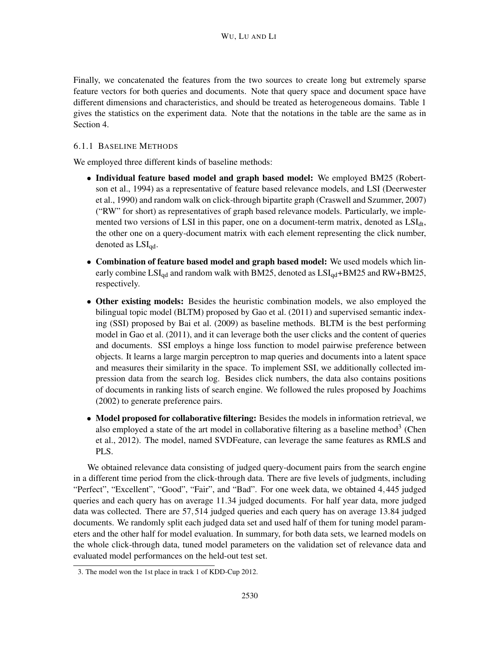Finally, we concatenated the features from the two sources to create long but extremely sparse feature vectors for both queries and documents. Note that query space and document space have different dimensions and characteristics, and should be treated as heterogeneous domains. Table 1 gives the statistics on the experiment data. Note that the notations in the table are the same as in Section 4.

### 6.1.1 BASELINE METHODS

We employed three different kinds of baseline methods:

- Individual feature based model and graph based model: We employed BM25 (Robertson et al., 1994) as a representative of feature based relevance models, and LSI (Deerwester et al., 1990) and random walk on click-through bipartite graph (Craswell and Szummer, 2007) ("RW" for short) as representatives of graph based relevance models. Particularly, we implemented two versions of LSI in this paper, one on a document-term matrix, denoted as  $LSI<sub>dt</sub>$ , the other one on a query-document matrix with each element representing the click number, denoted as  $LSI_{qd}$ .
- Combination of feature based model and graph based model: We used models which linearly combine  $LSI_{qd}$  and random walk with BM25, denoted as  $LSI_{qd}$ +BM25 and RW+BM25, respectively.
- Other existing models: Besides the heuristic combination models, we also employed the bilingual topic model (BLTM) proposed by Gao et al. (2011) and supervised semantic indexing (SSI) proposed by Bai et al. (2009) as baseline methods. BLTM is the best performing model in Gao et al. (2011), and it can leverage both the user clicks and the content of queries and documents. SSI employs a hinge loss function to model pairwise preference between objects. It learns a large margin perceptron to map queries and documents into a latent space and measures their similarity in the space. To implement SSI, we additionally collected impression data from the search log. Besides click numbers, the data also contains positions of documents in ranking lists of search engine. We followed the rules proposed by Joachims (2002) to generate preference pairs.
- Model proposed for collaborative filtering: Besides the models in information retrieval, we also employed a state of the art model in collaborative filtering as a baseline method<sup>3</sup> (Chen et al., 2012). The model, named SVDFeature, can leverage the same features as RMLS and PLS.

We obtained relevance data consisting of judged query-document pairs from the search engine in a different time period from the click-through data. There are five levels of judgments, including "Perfect", "Excellent", "Good", "Fair", and "Bad". For one week data, we obtained 4,445 judged queries and each query has on average 11.34 judged documents. For half year data, more judged data was collected. There are 57,514 judged queries and each query has on average 13.84 judged documents. We randomly split each judged data set and used half of them for tuning model parameters and the other half for model evaluation. In summary, for both data sets, we learned models on the whole click-through data, tuned model parameters on the validation set of relevance data and evaluated model performances on the held-out test set.

<sup>3.</sup> The model won the 1st place in track 1 of KDD-Cup 2012.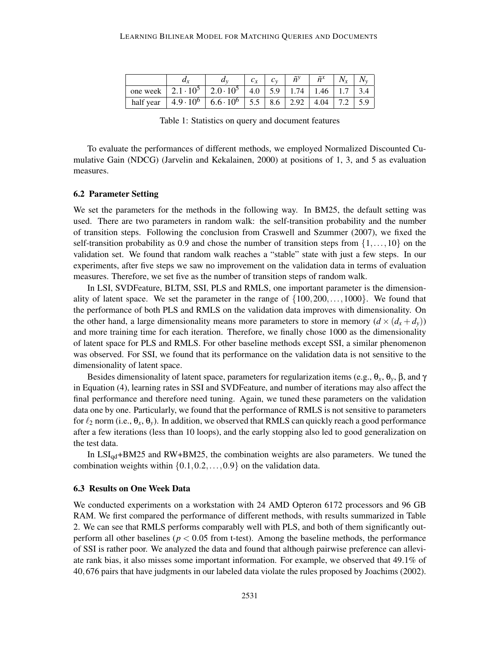|           | $\boldsymbol{u}$   | $u_{y}$                             |     |     | $\tilde{n}$ <sup>y</sup> | $\tilde{z}$ |  |
|-----------|--------------------|-------------------------------------|-----|-----|--------------------------|-------------|--|
| one week  | $2.1 \cdot 10^5$   | $\pm 2.0 \cdot 10^{5}$              | 4.0 | 5.9 | 1.74                     | 1.46        |  |
| half year | $4.9 \cdot 10^{6}$ | $6.6 \cdot 10^6$   5.5   8.6   2.92 |     |     |                          | 4.04        |  |

Table 1: Statistics on query and document features

To evaluate the performances of different methods, we employed Normalized Discounted Cumulative Gain (NDCG) (Jarvelin and Kekalainen, 2000) at positions of 1, 3, and 5 as evaluation measures.

#### 6.2 Parameter Setting

We set the parameters for the methods in the following way. In BM25, the default setting was used. There are two parameters in random walk: the self-transition probability and the number of transition steps. Following the conclusion from Craswell and Szummer (2007), we fixed the self-transition probability as 0.9 and chose the number of transition steps from  $\{1,\ldots,10\}$  on the validation set. We found that random walk reaches a "stable" state with just a few steps. In our experiments, after five steps we saw no improvement on the validation data in terms of evaluation measures. Therefore, we set five as the number of transition steps of random walk.

In LSI, SVDFeature, BLTM, SSI, PLS and RMLS, one important parameter is the dimensionality of latent space. We set the parameter in the range of  $\{100, 200, \ldots, 1000\}$ . We found that the performance of both PLS and RMLS on the validation data improves with dimensionality. On the other hand, a large dimensionality means more parameters to store in memory  $(d \times (d_x + d_y))$ and more training time for each iteration. Therefore, we finally chose 1000 as the dimensionality of latent space for PLS and RMLS. For other baseline methods except SSI, a similar phenomenon was observed. For SSI, we found that its performance on the validation data is not sensitive to the dimensionality of latent space.

Besides dimensionality of latent space, parameters for regularization items (e.g.,  $\theta_x$ ,  $\theta_y$ ,  $\beta$ , and  $\gamma$ in Equation (4), learning rates in SSI and SVDFeature, and number of iterations may also affect the final performance and therefore need tuning. Again, we tuned these parameters on the validation data one by one. Particularly, we found that the performance of RMLS is not sensitive to parameters for  $\ell_2$  norm (i.e.,  $\theta_x$ ,  $\theta_y$ ). In addition, we observed that RMLS can quickly reach a good performance after a few iterations (less than 10 loops), and the early stopping also led to good generalization on the test data.

In  $LSI_{qd}$ +BM25 and RW+BM25, the combination weights are also parameters. We tuned the combination weights within  $\{0.1, 0.2, \ldots, 0.9\}$  on the validation data.

#### 6.3 Results on One Week Data

We conducted experiments on a workstation with 24 AMD Opteron 6172 processors and 96 GB RAM. We first compared the performance of different methods, with results summarized in Table 2. We can see that RMLS performs comparably well with PLS, and both of them significantly outperform all other baselines ( $p < 0.05$  from t-test). Among the baseline methods, the performance of SSI is rather poor. We analyzed the data and found that although pairwise preference can alleviate rank bias, it also misses some important information. For example, we observed that 49.1% of 40,676 pairs that have judgments in our labeled data violate the rules proposed by Joachims (2002).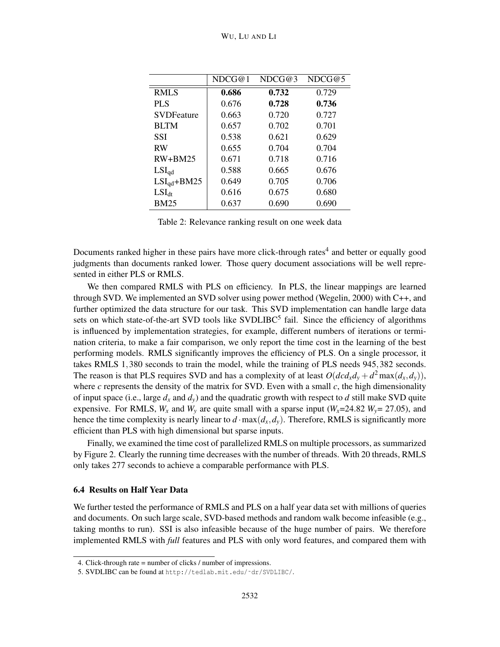|                   | NDCG@1 | NDCG@3 | NDCG@5 |
|-------------------|--------|--------|--------|
| <b>RMLS</b>       | 0.686  | 0.732  | 0.729  |
| <b>PLS</b>        | 0.676  | 0.728  | 0.736  |
| <b>SVDFeature</b> | 0.663  | 0.720  | 0.727  |
| <b>BLTM</b>       | 0.657  | 0.702  | 0.701  |
| SSI               | 0.538  | 0.621  | 0.629  |
| <b>RW</b>         | 0.655  | 0.704  | 0.704  |
| $RW+BM25$         | 0.671  | 0.718  | 0.716  |
| $LSI_{qd}$        | 0.588  | 0.665  | 0.676  |
| $LSI_{qd}+BM25$   | 0.649  | 0.705  | 0.706  |
| $LSI_{dt}$        | 0.616  | 0.675  | 0.680  |
| <b>BM25</b>       | 0.637  | 0.690  | 0.690  |

Table 2: Relevance ranking result on one week data

Documents ranked higher in these pairs have more click-through rates<sup>4</sup> and better or equally good judgments than documents ranked lower. Those query document associations will be well represented in either PLS or RMLS.

We then compared RMLS with PLS on efficiency. In PLS, the linear mappings are learned through SVD. We implemented an SVD solver using power method (Wegelin, 2000) with C++, and further optimized the data structure for our task. This SVD implementation can handle large data sets on which state-of-the-art SVD tools like SVDLIBC<sup>5</sup> fail. Since the efficiency of algorithms is influenced by implementation strategies, for example, different numbers of iterations or termination criteria, to make a fair comparison, we only report the time cost in the learning of the best performing models. RMLS significantly improves the efficiency of PLS. On a single processor, it takes RMLS 1,380 seconds to train the model, while the training of PLS needs 945,382 seconds. The reason is that PLS requires SVD and has a complexity of at least  $O(dcd_xd_y + d^2 \max(d_x, d_y))$ , where  $c$  represents the density of the matrix for SVD. Even with a small  $c$ , the high dimensionality of input space (i.e., large  $d_x$  and  $d_y$ ) and the quadratic growth with respect to  $d$  still make SVD quite expensive. For RMLS,  $W_x$  and  $W_y$  are quite small with a sparse input ( $W_x$ =24.82  $W_y$ = 27.05), and hence the time complexity is nearly linear to  $d \cdot \max(d_x, d_y)$ . Therefore, RMLS is significantly more efficient than PLS with high dimensional but sparse inputs.

Finally, we examined the time cost of parallelized RMLS on multiple processors, as summarized by Figure 2. Clearly the running time decreases with the number of threads. With 20 threads, RMLS only takes 277 seconds to achieve a comparable performance with PLS.

### 6.4 Results on Half Year Data

We further tested the performance of RMLS and PLS on a half year data set with millions of queries and documents. On such large scale, SVD-based methods and random walk become infeasible (e.g., taking months to run). SSI is also infeasible because of the huge number of pairs. We therefore implemented RMLS with *full* features and PLS with only word features, and compared them with

<sup>4.</sup> Click-through rate = number of clicks / number of impressions.

<sup>5.</sup> SVDLIBC can be found at http://tedlab.mit.edu/˜dr/SVDLIBC/.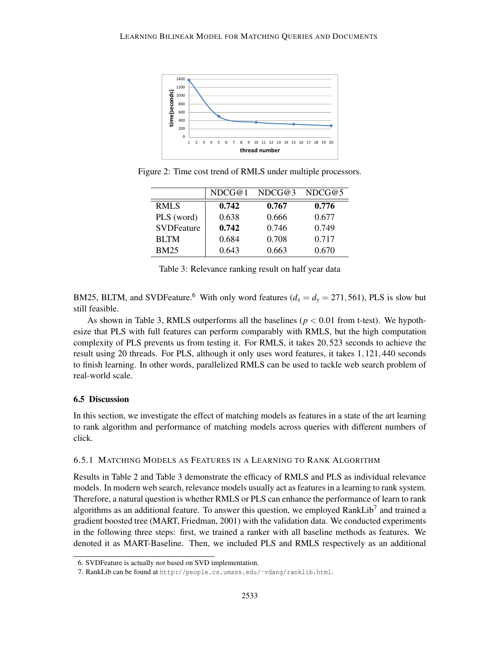

Figure 2: Time cost trend of RMLS under multiple processors.

|                   | NDCG@1 | NDCG@3 | NDCG@5 |
|-------------------|--------|--------|--------|
| <b>RMLS</b>       | 0.742  | 0.767  | 0.776  |
| PLS (word)        | 0.638  | 0.666  | 0.677  |
| <b>SVDFeature</b> | 0.742  | 0.746  | 0.749  |
| <b>BLTM</b>       | 0.684  | 0.708  | 0.717  |
| <b>BM25</b>       | 0.643  | 0.663  | 0.670  |

Table 3: Relevance ranking result on half year data

BM25, BLTM, and SVDFeature.<sup>6</sup> With only word features ( $d_x = d_y = 271,561$ ), PLS is slow but still feasible.

As shown in Table 3, RMLS outperforms all the baselines ( $p < 0.01$  from t-test). We hypothesize that PLS with full features can perform comparably with RMLS, but the high computation complexity of PLS prevents us from testing it. For RMLS, it takes 20,523 seconds to achieve the result using 20 threads. For PLS, although it only uses word features, it takes 1,121,440 seconds to finish learning. In other words, parallelized RMLS can be used to tackle web search problem of real-world scale.

## 6.5 Discussion

In this section, we investigate the effect of matching models as features in a state of the art learning to rank algorithm and performance of matching models across queries with different numbers of click.

### 6.5.1 MATCHING MODELS AS FEATURES IN A LEARNING TO RANK ALGORITHM

Results in Table 2 and Table 3 demonstrate the efficacy of RMLS and PLS as individual relevance models. In modern web search, relevance models usually act as features in a learning to rank system. Therefore, a natural question is whether RMLS or PLS can enhance the performance of learn to rank algorithms as an additional feature. To answer this question, we employed RankLib<sup>7</sup> and trained a gradient boosted tree (MART, Friedman, 2001) with the validation data. We conducted experiments in the following three steps: first, we trained a ranker with all baseline methods as features. We denoted it as MART-Baseline. Then, we included PLS and RMLS respectively as an additional

<sup>6.</sup> SVDFeature is actually *not* based on SVD implementation.

<sup>7.</sup> RankLib can be found at http://people.cs.umass.edu/~vdang/ranklib.html.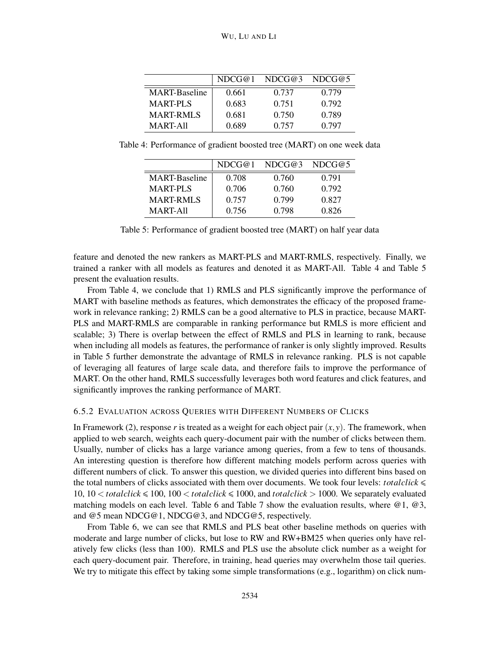|                      | NDCG@1 | NDCG@3 | NDCG@5 |
|----------------------|--------|--------|--------|
| <b>MART-Baseline</b> | 0.661  | 0.737  | 0.779  |
| <b>MART-PLS</b>      | 0.683  | 0.751  | 0.792  |
| <b>MART-RMLS</b>     | 0.681  | 0.750  | 0.789  |
| MART-All             | 0.689  | 0.757  | 0.797  |

Table 4: Performance of gradient boosted tree (MART) on one week data

|                      | NDCG@1 | NDCG@3 | NDCG@5 |
|----------------------|--------|--------|--------|
| <b>MART-Baseline</b> | 0.708  | 0.760  | 0.791  |
| <b>MART-PLS</b>      | 0.706  | 0.760  | 0.792  |
| <b>MART-RMLS</b>     | 0.757  | 0.799  | 0.827  |
| MART-All             | 0.756  | 0.798  | 0.826  |

Table 5: Performance of gradient boosted tree (MART) on half year data

feature and denoted the new rankers as MART-PLS and MART-RMLS, respectively. Finally, we trained a ranker with all models as features and denoted it as MART-All. Table 4 and Table 5 present the evaluation results.

From Table 4, we conclude that 1) RMLS and PLS significantly improve the performance of MART with baseline methods as features, which demonstrates the efficacy of the proposed framework in relevance ranking; 2) RMLS can be a good alternative to PLS in practice, because MART-PLS and MART-RMLS are comparable in ranking performance but RMLS is more efficient and scalable; 3) There is overlap between the effect of RMLS and PLS in learning to rank, because when including all models as features, the performance of ranker is only slightly improved. Results in Table 5 further demonstrate the advantage of RMLS in relevance ranking. PLS is not capable of leveraging all features of large scale data, and therefore fails to improve the performance of MART. On the other hand, RMLS successfully leverages both word features and click features, and significantly improves the ranking performance of MART.

#### 6.5.2 EVALUATION ACROSS QUERIES WITH DIFFERENT NUMBERS OF CLICKS

In Framework (2), response *r* is treated as a weight for each object pair  $(x, y)$ . The framework, when applied to web search, weights each query-document pair with the number of clicks between them. Usually, number of clicks has a large variance among queries, from a few to tens of thousands. An interesting question is therefore how different matching models perform across queries with different numbers of click. To answer this question, we divided queries into different bins based on the total numbers of clicks associated with them over documents. We took four levels: *totalclick*  $\leq$ 10,  $10 <$  *totalclick*  $\leq 100$ ,  $100 <$  *totalclick*  $\leq 1000$ , and *totalclick*  $> 1000$ . We separately evaluated matching models on each level. Table 6 and Table 7 show the evaluation results, where @1, @3, and @5 mean NDCG@1, NDCG@3, and NDCG@5, respectively.

From Table 6, we can see that RMLS and PLS beat other baseline methods on queries with moderate and large number of clicks, but lose to RW and RW+BM25 when queries only have relatively few clicks (less than 100). RMLS and PLS use the absolute click number as a weight for each query-document pair. Therefore, in training, head queries may overwhelm those tail queries. We try to mitigate this effect by taking some simple transformations (e.g., logarithm) on click num-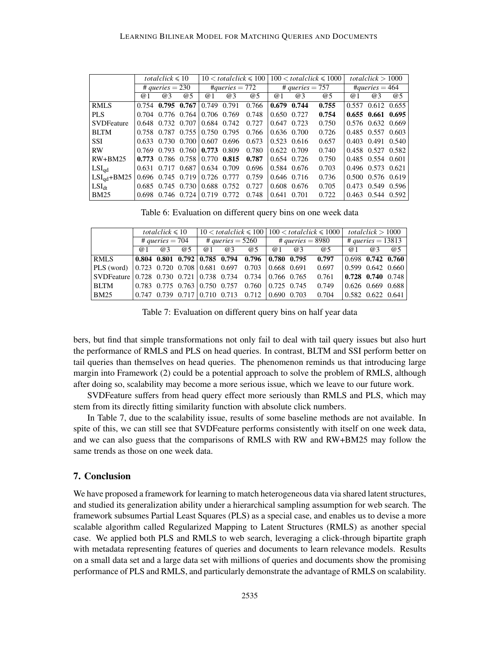|                   | totalclick $\leq 10$ |    |                         |                   |             | $10 <$ totalclick $\leq 100$ | $100 <$ totalclick $\leq 1000$ |               |       | totalclick $> 1000$ |                         |    |
|-------------------|----------------------|----|-------------------------|-------------------|-------------|------------------------------|--------------------------------|---------------|-------|---------------------|-------------------------|----|
|                   | # queries $= 230$    |    |                         | $\#queries = 772$ |             |                              | # queries $= 757$              |               |       | $\#queries = 464$   |                         |    |
|                   | @1                   | @3 | @5                      | @1                | @3          | @5                           | $\omega$ 1                     | @3            | @5    | @1                  | @3                      | @5 |
| <b>RMLS</b>       |                      |    | $0.754$ 0.795 0.767     | 0.749             | 0.791       | 0.766                        | 0.679                          | 0.744         | 0.755 |                     | 0.557 0.612 0.655       |    |
| <b>PLS</b>        |                      |    | $0.704$ $0.776$ $0.764$ | 0.706 0.769       |             | 0.748                        | 0.650 0.727                    |               | 0.754 |                     | $0.655$ $0.661$ $0.695$ |    |
| <b>SVDFeature</b> |                      |    | $0.648$ $0.732$ $0.707$ | 0.684 0.742       |             | 0.727                        | $0.647$ $0.723$                |               | 0.750 |                     | 0.576 0.632 0.669       |    |
| <b>BLTM</b>       |                      |    | $0.758$ $0.787$ $0.755$ | 0.750 0.795       |             | 0.766                        | $0.636$ $0.700$                |               | 0.726 |                     | 0.485 0.557 0.603       |    |
| <b>SSI</b>        |                      |    | $0.633$ $0.730$ $0.700$ |                   | 0.607 0.696 | 0.673                        | $0.523$ $0.616$                |               | 0.657 |                     | 0.403 0.491 0.540       |    |
| <b>RW</b>         |                      |    | $0.769$ $0.793$ $0.760$ | $0.773$ 0.809     |             | 0.780                        | 0.622 0.709                    |               | 0.740 |                     | 0.458 0.527 0.582       |    |
| $RW+BM25$         |                      |    | $0.773$ 0.786 0.758     | $0.770$ 0.815     |             | 0.787                        |                                | $0.654$ 0.726 | 0.750 |                     | 0.485 0.554 0.601       |    |
| $LSI_{qd}$        |                      |    | $0.631$ $0.717$ $0.687$ | 0.634 0.709       |             | 0.696                        |                                | 0.584 0.676   | 0.703 |                     | 0.496 0.573 0.621       |    |
| $LSI_{qd} + BM25$ |                      |    | $0.696$ $0.745$ $0.719$ | 0.726 0.777       |             | 0.759                        |                                | $0.646$ 0.716 | 0.736 |                     | 0.500 0.576 0.619       |    |
| $LSI_{dt}$        |                      |    | $0.685$ $0.745$ $0.730$ | 0.688 0.752       |             | 0.727                        |                                | 0.608 0.676   | 0.705 |                     | 0.473 0.549 0.596       |    |
| <b>BM25</b>       |                      |    | $0.698$ $0.746$ $0.724$ | 0.719 0.772       |             | 0.748                        | $0.641$ 0.701                  |               | 0.722 |                     | 0.463 0.544 0.592       |    |

Table 6: Evaluation on different query bins on one week data

|                                                                               | totalclick $\leq 10$ |            |                    |     |    |                                                                                                            | $10 <$ totalclick $\leq 100 \mid 100 <$ totalclick $\leq 1000$ |    |                   | totalclick $>1000$ |                                             |            |
|-------------------------------------------------------------------------------|----------------------|------------|--------------------|-----|----|------------------------------------------------------------------------------------------------------------|----------------------------------------------------------------|----|-------------------|--------------------|---------------------------------------------|------------|
|                                                                               | # queries $= 704$    |            | # queries $=$ 5260 |     |    | # queries $= 8980$                                                                                         |                                                                |    | # queries = 13813 |                    |                                             |            |
|                                                                               | @ 1                  | $\omega$ 3 | @5                 | @ 1 | @3 | @5                                                                                                         | @ 1                                                            | @3 | <b>@5</b>         | @ 1                | @3                                          | $\omega$ 5 |
| RMLS                                                                          |                      |            |                    |     |    | $\mid 0.804 \quad 0.801 \quad 0.792 \mid 0.785 \quad 0.794 \quad 0.796 \mid 0.780 \quad 0.795 \quad 0.797$ |                                                                |    |                   |                    | $\vert 0.698 \vert 0.742 \vert 0.760 \vert$ |            |
| $ PLS (word)   0.723   0.720   0.708   0.681   0.697   0.703   0.668   0.691$ |                      |            |                    |     |    |                                                                                                            |                                                                |    | 0.697             |                    | $\vert 0.599 \vert 0.642 \vert 0.660 \vert$ |            |
| SVDFeature   0.728  0.730  0.721   0.738  0.734  0.734    0.766  0.765        |                      |            |                    |     |    |                                                                                                            |                                                                |    | 0.761             |                    | $\vert 0.728 \vert 0.740 \vert 0.748 \vert$ |            |
| BLTM                                                                          |                      |            |                    |     |    |                                                                                                            |                                                                |    | 0.749             |                    | $0.626$ 0.669 0.688                         |            |
| <b>BM25</b>                                                                   |                      |            |                    |     |    |                                                                                                            |                                                                |    |                   |                    | $\vert 0.582 \vert 0.622 \vert 0.641 \vert$ |            |

Table 7: Evaluation on different query bins on half year data

bers, but find that simple transformations not only fail to deal with tail query issues but also hurt the performance of RMLS and PLS on head queries. In contrast, BLTM and SSI perform better on tail queries than themselves on head queries. The phenomenon reminds us that introducing large margin into Framework (2) could be a potential approach to solve the problem of RMLS, although after doing so, scalability may become a more serious issue, which we leave to our future work.

SVDFeature suffers from head query effect more seriously than RMLS and PLS, which may stem from its directly fitting similarity function with absolute click numbers.

In Table 7, due to the scalability issue, results of some baseline methods are not available. In spite of this, we can still see that SVDFeature performs consistently with itself on one week data, and we can also guess that the comparisons of RMLS with RW and RW+BM25 may follow the same trends as those on one week data.

#### 7. Conclusion

We have proposed a framework for learning to match heterogeneous data via shared latent structures, and studied its generalization ability under a hierarchical sampling assumption for web search. The framework subsumes Partial Least Squares (PLS) as a special case, and enables us to devise a more scalable algorithm called Regularized Mapping to Latent Structures (RMLS) as another special case. We applied both PLS and RMLS to web search, leveraging a click-through bipartite graph with metadata representing features of queries and documents to learn relevance models. Results on a small data set and a large data set with millions of queries and documents show the promising performance of PLS and RMLS, and particularly demonstrate the advantage of RMLS on scalability.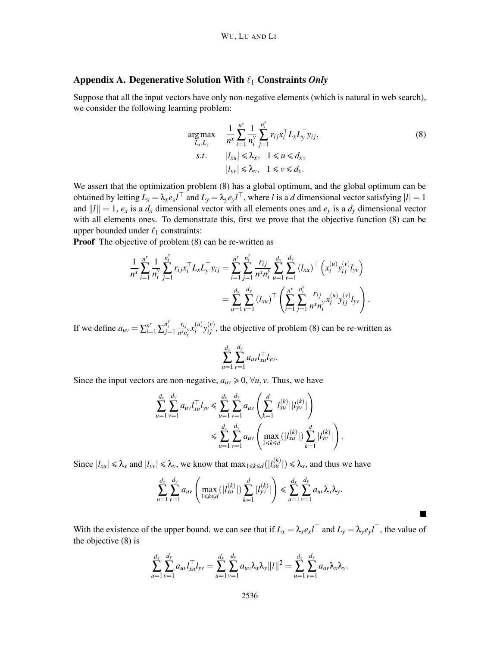## Appendix A. Degenerative Solution With ℓ<sup>1</sup> Constraints *Only*

Suppose that all the input vectors have only non-negative elements (which is natural in web search), we consider the following learning problem:

$$
\underset{L_x, L_y}{\arg \max} \quad \frac{1}{n^x} \sum_{i=1}^{n^x} \frac{1}{n_i^y} \sum_{j=1}^{n_i^y} r_{ij} x_i^\top L_x L_y^\top y_{ij},
$$
\n
$$
s.t. \quad |l_{xu}| \leq \lambda_x, \quad 1 \leq u \leq d_x,
$$
\n
$$
|l_{yv}| \leq \lambda_y, \quad 1 \leq v \leq d_y.
$$
\n
$$
(8)
$$

.

We assert that the optimization problem  $(8)$  has a global optimum, and the global optimum can be obtained by letting  $L_x = \lambda_x e_x l^\perp$  and  $L_y = \lambda_y e_y l^\perp$ , where *l* is a *d* dimensional vector satisfying  $|l| = 1$ and  $||l|| = 1$ ,  $e_x$  is a  $d_x$  dimensional vector with all elements ones and  $e_y$  is a  $d_y$  dimensional vector with all elements ones. To demonstrate this, first we prove that the objective function (8) can be upper bounded under  $\ell_1$  constraints:

**Proof** The objective of problem (8) can be re-written as

$$
\frac{1}{n^x} \sum_{i=1}^{n^x} \frac{1}{n_i^y} \sum_{j=1}^{n_i^y} r_{ij} x_i^\top L_x L_y^\top y_{ij} = \sum_{i=1}^{n^x} \sum_{j=1}^{n_i^y} \frac{r_{ij}}{n^x n_i^y} \sum_{u=1}^d \sum_{v=1}^{d_v} (l_{xu})^\top \left( x_i^{(u)} y_{ij}^{(v)} l_{yv} \right)
$$
\n
$$
= \sum_{u=1}^d \sum_{v=1}^{d_v} (l_{xu})^\top \left( \sum_{i=1}^{n^x} \sum_{j=1}^{n_i^y} \frac{r_{ij}}{n^x n_i^y} x_i^{(u)} y_{ij}^{(v)} l_{yv} \right)
$$

If we define  $a_{uv} = \sum_{i=1}^{n^x} \sum_{j=1}^{n_i^y}$ *ri j*  $\frac{r_{ij}}{n^x n_i^y} x_i^{(u)}$  $\chi_i^{(u)}$   $y_{ij}^{(v)}$ , the objective of problem (8) can be re-written as

$$
\sum_{u=1}^{d_x} \sum_{v=1}^{d_y} a_{uv} l_{xu}^\top l_{yv}.
$$

Since the input vectors are non-negative,  $a_{uv} \ge 0$ ,  $\forall u, v$ . Thus, we have

$$
\sum_{u=1}^{d_x} \sum_{v=1}^{d_y} a_{uv} l_{xu}^{\top} l_{yv} \le \sum_{u=1}^{d_x} \sum_{v=1}^{d_y} a_{uv} \left( \sum_{k=1}^d |l_{xu}^{(k)}| |l_{yv}^{(k)}| \right)
$$
  

$$
\le \sum_{u=1}^{d_x} \sum_{v=1}^{d_y} a_{uv} \left( \max_{1 \le k \le d} (|l_{xu}^{(k)}|) \sum_{k=1}^d |l_{yv}^{(k)}| \right).
$$

Since  $|l_{xu}| \le \lambda_x$  and  $|l_{yv}| \le \lambda_y$ , we know that  $\max_{1 \le k \le d} (|l_{xu}^{(k)}|) \le \lambda_x$ , and thus we have

$$
\sum_{u=1}^{d_x} \sum_{v=1}^{d_y} a_{uv} \left( \max_{1 \le k \le d} (|l_{xu}^{(k)}|) \sum_{k=1}^d |l_{yv}^{(k)}| \right) \le \sum_{u=1}^{d_x} \sum_{v=1}^{d_y} a_{uv} \lambda_x \lambda_y.
$$

With the existence of the upper bound, we can see that if  $L_x = \lambda_x e_x l^{\perp}$  and  $L_y = \lambda_y e_y l^{\perp}$ , the value of the objective (8) is

$$
\sum_{u=1}^{d_x} \sum_{v=1}^{d_y} a_{uv} l_{xu}^\top l_{yv} = \sum_{u=1}^{d_x} \sum_{v=1}^{d_y} a_{uv} \lambda_x \lambda_y ||l||^2 = \sum_{u=1}^{d_x} \sum_{v=1}^{d_y} a_{uv} \lambda_x \lambda_y.
$$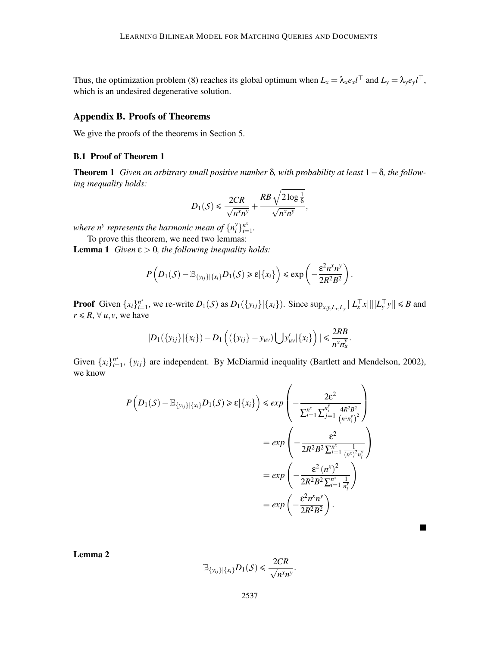Thus, the optimization problem (8) reaches its global optimum when  $L_x = \lambda_x e_x l^{\perp}$  and  $L_y = \lambda_y e_y l^{\perp}$ , which is an undesired degenerative solution.

## Appendix B. Proofs of Theorems

We give the proofs of the theorems in Section 5.

#### B.1 Proof of Theorem 1

Theorem 1 *Given an arbitrary small positive number* δ*, with probability at least* 1−δ*, the following inequality holds:*

$$
D_1(\mathcal{S}) \leqslant \frac{2CR}{\sqrt{n^x n^y}} + \frac{RB\sqrt{2\log\frac{1}{\delta}}}{\sqrt{n^x n^y}},
$$

where  $n^y$  represents the harmonic mean of  $\{n^y_i\}$  $\sum_{i=1}^{y} \frac{n^x}{i}$  $\sum_{i=1}^{n^*}$ 

To prove this theorem, we need two lemmas:

**Lemma 1** *Given*  $\varepsilon > 0$ *, the following inequality holds:* 

$$
P\left(D_1(\mathcal{S}) - \mathbb{E}_{\{y_{ij}\}\mid \{x_i\}} D_1(\mathcal{S}) \geq \varepsilon \mid \{x_i\} \right) \leq \exp\left(-\frac{\varepsilon^2 n^x n^y}{2R^2 B^2}\right).
$$

**Proof** Given  $\{x_i\}_{i=1}^{n^x}$  $\sum_{i=1}^{n^x}$ , we re-write  $D_1(S)$  as  $D_1(\{y_{ij}\}|\{x_i\})$ . Since  $\sup_{x,y,L_x,L_y}||L_x^{\top}x||||L_y^{\top}y|| \le B$  and *r* ≤ *R*,  $\forall$  *u*, *v*, we have

$$
|D_1({y_{ij}}|{x_i}) - D_1((y_{ij} - y_{uv}) \bigcup y'_{uv}|{x_i})| \leq \frac{2RB}{n^x n^y_u}.
$$

Given  $\{x_i\}_{i=1}^{n^x}$  $\{y_{ij}\}\$ are independent. By McDiarmid inequality (Bartlett and Mendelson, 2002), we know

$$
P\left(D_1(S) - \mathbb{E}_{\{y_{ij}\}\}\{x_i\}} D_1(S) \ge \varepsilon | \{x_i\} \right) \le exp\left(-\frac{2\varepsilon^2}{\sum_{i=1}^{n_x} \sum_{j=1}^{n_i^{\gamma}} \frac{4R^2B^2}{\left(n^x n_i^{\gamma}\right)^2}}\right)
$$
  
=  $exp\left(-\frac{\varepsilon^2}{2R^2B^2\sum_{i=1}^{n_x} \frac{1}{\left(n^x\right)^2 n_i^{\gamma}}}\right)$   
=  $exp\left(-\frac{\varepsilon^2 (n^x)^2}{2R^2B^2\sum_{i=1}^{n_x} \frac{1}{n_i^{\gamma}}}\right)$   
=  $exp\left(-\frac{\varepsilon^2 n^x n^y}{2R^2B^2}\right).$ 

Lemma 2

$$
\mathbb{E}_{\{y_{ij}\}\mid \{x_i\}} D_1(S) \leq \frac{2CR}{\sqrt{n^x n^y}}.
$$

 $\blacksquare$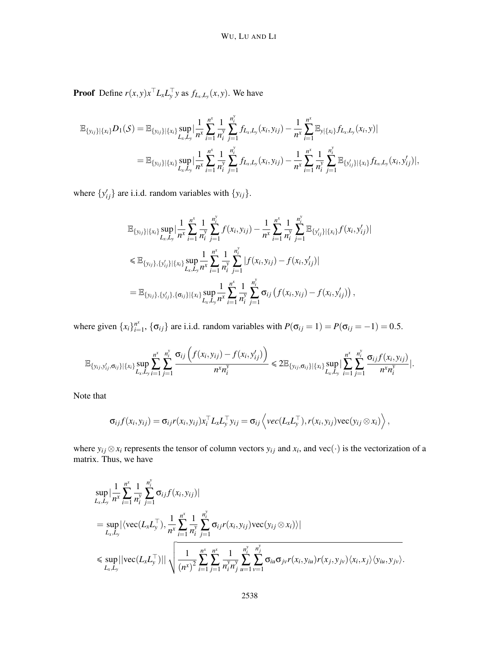**Proof** Define  $r(x, y)x$ <sup> $\perp$ </sup> $L_xL_y^{\perp}$  *y* as  $f_{L_x,L_y}(x, y)$ . We have

$$
\mathbb{E}_{\{y_{ij}\}\mid\{x_i\}}D_1(\mathcal{S}) = \mathbb{E}_{\{y_{ij}\}\mid\{x_i\}}\sup_{L_x,L_y}|\frac{1}{n^x}\sum_{i=1}^{n^x}\frac{1}{n_i^y}\sum_{j=1}^{n_i^y}f_{L_x,L_y}(x_i,y_{ij}) - \frac{1}{n^x}\sum_{i=1}^{n^x}\mathbb{E}_{y|\{x_i\}}f_{L_x,L_y}(x_i,y)|
$$
  
= 
$$
\mathbb{E}_{\{y_{ij}\}\mid\{x_i\}}\sup_{L_x,L_y}|\frac{1}{n^x}\sum_{i=1}^{n^x}\frac{1}{n_i^y}\sum_{j=1}^{n_i^y}f_{L_x,L_y}(x_i,y_{ij}) - \frac{1}{n^x}\sum_{i=1}^{n^x}\frac{1}{n_i^y}\sum_{j=1}^{n_i^y}\mathbb{E}_{\{y'_{ij}\}\mid\{x_i\}}f_{L_x,L_y}(x_i,y'_{ij})|,
$$

where  $\{y'_{ij}\}\$ are i.i.d. random variables with  $\{y_{ij}\}\$ .

$$
\mathbb{E}_{\{y_{ij}\}\mid\{x_i\}}\sup_{L_x,L_y}\Big|\frac{1}{n^x}\sum_{i=1}^{n^x}\frac{1}{n^y_i}\sum_{j=1}^{n^y_i}f(x_i,y_{ij})-\frac{1}{n^x}\sum_{i=1}^{n^x}\frac{1}{n^y_i}\sum_{j=1}^{n^y_i}\mathbb{E}_{\{y'_{ij}\}\mid\{x_i\}}f(x_i,y'_{ij})\Big|\leq \mathbb{E}_{\{y_{ij}\},\{y'_{ij}\}\mid\{x_i\}}\sup_{L_x,L_y}\frac{1}{n^x}\sum_{i=1}^{n^x_i}\frac{1}{n^y_i}\sum_{j=1}^{n^y_i}|f(x_i,y_{ij})-f(x_i,y'_{ij})|\n=\mathbb{E}_{\{y_{ij}\},\{y'_{ij}\},\{\sigma_{ij}\}\mid\{x_i\}}\sup_{L_x,L_y}\frac{1}{n^x}\sum_{i=1}^{n^x_i}\frac{1}{n^y_i}\sum_{j=1}^{n^y_i}\sigma_{ij}(f(x_i,y_{ij})-f(x_i,y'_{ij})) ,
$$

where given  $\{x_i\}_{i=1}^{n^x}$  $P_{i=1}^r$ ,  $\{\sigma_{ij}\}$  are i.i.d. random variables with  $P(\sigma_{ij} = 1) = P(\sigma_{ij} = -1) = 0.5$ .

$$
\mathbb{E}_{\{y_{ij},y'_{ij},\sigma_{ij}\}\mid \{x_i\}} \sup_{L_x,L_y} \sum_{i=1}^{n^x} \sum_{j=1}^{n^y_i} \frac{\sigma_{ij} \left(f(x_i,y_{ij})-f(x_i,y'_{ij})\right)}{n^x n^y_i} \leq 2 \mathbb{E}_{\{y_{ij},\sigma_{ij}\}\mid \{x_i\}} \sup_{L_x,L_y} \big|\sum_{i=1}^{n^x} \sum_{j=1}^{n^y_i} \frac{\sigma_{ij} f(x_i,y_{ij})}{n^x n^y_i}\big|.
$$

Note that

$$
\sigma_{ij}f(x_i,y_{ij})=\sigma_{ij}r(x_i,y_{ij})x_i^{\top}L_xL_y^{\top}y_{ij}=\sigma_{ij}\left\langle vec(L_xL_y^{\top}),r(x_i,y_{ij})vec(y_{ij}\otimes x_i)\right\rangle,
$$

where  $y_{ij} \otimes x_i$  represents the tensor of column vectors  $y_{ij}$  and  $x_i$ , and vec(·) is the vectorization of a matrix. Thus, we have

$$
\sup_{L_x, L_y} \left| \frac{1}{n^x} \sum_{i=1}^{n^x} \frac{1}{n_i^y} \sum_{j=1}^{n_i^y} \sigma_{ij} f(x_i, y_{ij}) \right|
$$
\n  
\n
$$
= \sup_{L_x, L_y} \left| \langle \text{vec}(L_x L_y^{\top}), \frac{1}{n^x} \sum_{i=1}^{n^x} \frac{1}{n_i^y} \sum_{j=1}^{n_i^y} \sigma_{ij} r(x_i, y_{ij}) \text{vec}(y_{ij} \otimes x_i) \rangle \right|
$$
\n  
\n
$$
\leq \sup_{L_x, L_y} \left| \left| \text{vec}(L_x L_y^{\top}) \right| \right| \sqrt{\frac{1}{(n^x)^2} \sum_{i=1}^{n^x} \sum_{j=1}^{n^x} \frac{1}{n_i^y n_j^y} \sum_{u=1}^{n_i^y} \sum_{v=1}^{n_j^y} \sigma_{iu} \sigma_{jv} r(x_i, y_{iu}) r(x_j, y_{jv}) \langle x_i, x_j \rangle \langle y_{iu}, y_{jv} \rangle}.
$$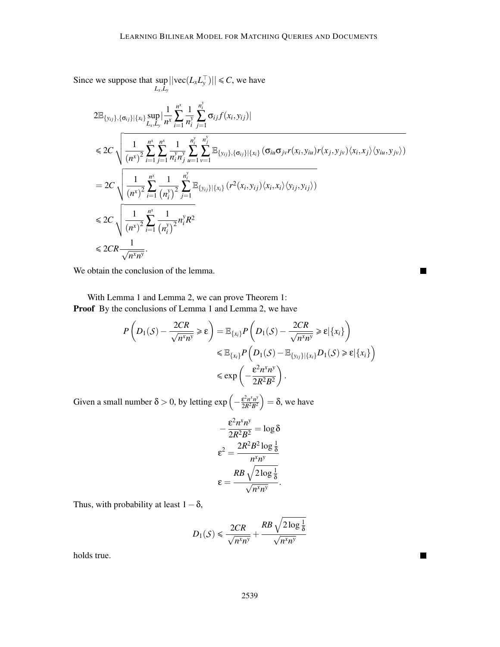Since we suppose that sup  $\sup_{L_x, L_y}$  ||vec(*L*<sub>*x*</sub>*L*<sub>*y*</sub></sub><sup>−</sup>)|| ≤ *C*, we have

$$
2\mathbb{E}_{\{y_{ij}\},\{\sigma_{ij}\}\|\{x_i\}} \sup_{L_x,L_y} \left| \frac{1}{n^x} \sum_{i=1}^{n^x} \frac{1}{n^y} \sum_{j=1}^{n^y} \sigma_{ij} f(x_i, y_{ij}) \right|
$$
  
\n
$$
\leq 2C \sqrt{\frac{1}{(n^x)^2} \sum_{i=1}^{n^x} \sum_{j=1}^{n^x} \frac{1}{n^y_i n^y_j} \sum_{u=1}^{n^y} \sum_{v=1}^{n^y} \mathbb{E}_{\{y_{ij}\},\{\sigma_{ij}\}\|\{x_i\}} (\sigma_{iu} \sigma_{jv} r(x_i, y_{iu}) r(x_j, y_{jv}) \langle x_i, x_j \rangle \langle y_{iu}, y_{jv} \rangle)
$$
  
\n
$$
= 2C \sqrt{\frac{1}{(n^x)^2} \sum_{i=1}^{n^x} \frac{1}{(n^y_i)^2} \sum_{j=1}^{n^y} \mathbb{E}_{\{y_{ij}\}\|\{x_i\}} (r^2(x_i, y_{ij}) \langle x_i, x_i \rangle \langle y_{ij}, y_{ij} \rangle)}
$$
  
\n
$$
\leq 2C \sqrt{\frac{1}{(n^x)^2} \sum_{i=1}^{n^x} \frac{1}{(n^y_i)^2} n^y_i R^2}
$$
  
\n
$$
\leq 2CR \frac{1}{\sqrt{n^x n^y}}.
$$

 $\blacksquare$ 

 $\blacksquare$ 

We obtain the conclusion of the lemma.

With Lemma 1 and Lemma 2, we can prove Theorem 1: Proof By the conclusions of Lemma 1 and Lemma 2, we have

$$
P\left(D_1(S) - \frac{2CR}{\sqrt{n^x n^y}} \ge \varepsilon\right) = \mathbb{E}_{\{x_i\}} P\left(D_1(S) - \frac{2CR}{\sqrt{n^x n^y}} \ge \varepsilon |\{x_i\}\right)
$$
  

$$
\le \mathbb{E}_{\{x_i\}} P\left(D_1(S) - \mathbb{E}_{\{y_{ij}\}\mid \{x_i\}} D_1(S) \ge \varepsilon |\{x_i\}\right)
$$
  

$$
\le \exp\left(-\frac{\varepsilon^2 n^x n^y}{2R^2 B^2}\right).
$$

Given a small number  $\delta > 0$ , by letting  $\exp\left(-\frac{\varepsilon^2 n^x n^y}{2R^2 B^2}\right)$  $\left(\frac{\varepsilon^2 n^x n^y}{2R^2 B^2}\right) = \delta$ , we have

$$
-\frac{\varepsilon^2 n^x n^y}{2R^2 B^2} = \log \delta
$$

$$
\varepsilon^2 = \frac{2R^2 B^2 \log \frac{1}{\delta}}{n^x n^y}
$$

$$
\varepsilon = \frac{RB \sqrt{2 \log \frac{1}{\delta}}}{\sqrt{n^x n^y}}.
$$

Thus, with probability at least  $1-\delta$ ,

$$
D_1(\mathcal{S}) \leqslant \frac{2CR}{\sqrt{n^x n^y}} + \frac{RB\sqrt{2\log\frac{1}{\delta}}}{\sqrt{n^x n^y}}
$$

holds true.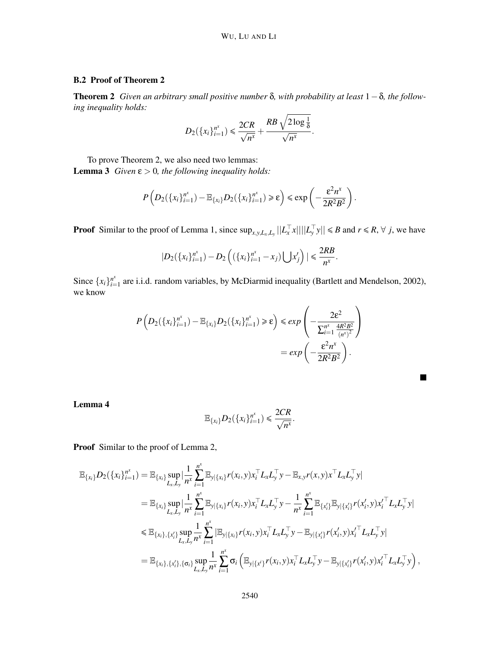### WU, LU AND LI

## B.2 Proof of Theorem 2

Theorem 2 *Given an arbitrary small positive number* δ*, with probability at least* 1−δ*, the following inequality holds:*

$$
D_2({x_i}_{i=1}^{n^x}) \leq \frac{2CR}{\sqrt{n^x}} + \frac{RB\sqrt{2\log\frac{1}{\delta}}}{\sqrt{n^x}}.
$$

To prove Theorem 2, we also need two lemmas:

**Lemma 3** *Given*  $\varepsilon > 0$ *, the following inequality holds:* 

$$
P\left(D_2(\lbrace x_i \rbrace_{i=1}^{n^x}) - \mathbb{E}_{\lbrace x_i \rbrace} D_2(\lbrace x_i \rbrace_{i=1}^{n^x}) \geq \varepsilon\right) \leq \exp\left(-\frac{\varepsilon^2 n^x}{2R^2B^2}\right).
$$

**Proof** Similar to the proof of Lemma 1, since  $\sup_{x,y,L_x,L_y}||L_x^T x|| ||L_y^T y|| \le B$  and  $r \le R$ ,  $\forall j$ , we have

$$
|D_2(\{x_i\}_{i=1}^{n^x})-D_2\left((\{x_i\}_{i=1}^{n^x}-x_j)\bigcup x'_j\right)|\leq \frac{2RB}{n^x}.
$$

Since  $\{x_i\}_{i=1}^{n^x}$  $\prod_{i=1}^{n^*}$  are i.i.d. random variables, by McDiarmid inequality (Bartlett and Mendelson, 2002), we know

$$
P\left(D_2(\lbrace x_i \rbrace_{i=1}^{n^x}) - \mathbb{E}_{\lbrace x_i \rbrace} D_2(\lbrace x_i \rbrace_{i=1}^{n^x}) \geq \varepsilon\right) \leq exp\left(-\frac{2\varepsilon^2}{\sum_{i=1}^{n^x} \frac{4R^2B^2}{\left(n^x\right)^2}}\right)
$$

$$
= exp\left(-\frac{\varepsilon^2n^x}{2R^2B^2}\right).
$$

Lemma 4

$$
\mathbb{E}_{\{x_i\}} D_2(\{x_i\}_{i=1}^{n^x}) \leq \frac{2CR}{\sqrt{n^x}}.
$$

 $\blacksquare$ 

Proof Similar to the proof of Lemma 2,

$$
\mathbb{E}_{\{x_i\}}D_2(\{x_i\}_{i=1}^{n^x}) = \mathbb{E}_{\{x_i\}}\sup_{L_x,L_y}|\frac{1}{n^x}\sum_{i=1}^{n^x}\mathbb{E}_{y|\{x_i\}}r(x_i,y)x_i^{\top}L_xL_y^{\top}y - \mathbb{E}_{x,y}r(x,y)x_i^{\top}L_xL_y^{\top}y| \n= \mathbb{E}_{\{x_i\}}\sup_{L_x,L_y}|\frac{1}{n^x}\sum_{i=1}^{n^x}\mathbb{E}_{y|\{x_i\}}r(x_i,y)x_i^{\top}L_xL_y^{\top}y - \frac{1}{n^x}\sum_{i=1}^{n^x}\mathbb{E}_{\{x_i\}}\mathbb{E}_{y|\{x_i\}}r(x_i',y)x_i^{\top}L_xL_y^{\top}y| \n\leq \mathbb{E}_{\{x_i\},\{x_i'\}}\sup_{L_x,L_y} \frac{1}{n^x}\sum_{i=1}^{n^x}|\mathbb{E}_{y|\{x_i\}}r(x_i,y)x_i^{\top}L_xL_y^{\top}y - \mathbb{E}_{y|\{x_i'\}}r(x_i',y)x_i^{\top}L_xL_y^{\top}y| \n= \mathbb{E}_{\{x_i\},\{x_i'\},\{\sigma_i\}}\sup_{L_x,L_y} \frac{1}{n^x}\sum_{i=1}^{n^x} \sigma_i(\mathbb{E}_{y|\{x_i'\}}r(x_i,y)x_i^{\top}L_xL_y^{\top}y - \mathbb{E}_{y|\{x_i'\}}r(x_i',y)x_i^{\top}L_xL_y^{\top}y),
$$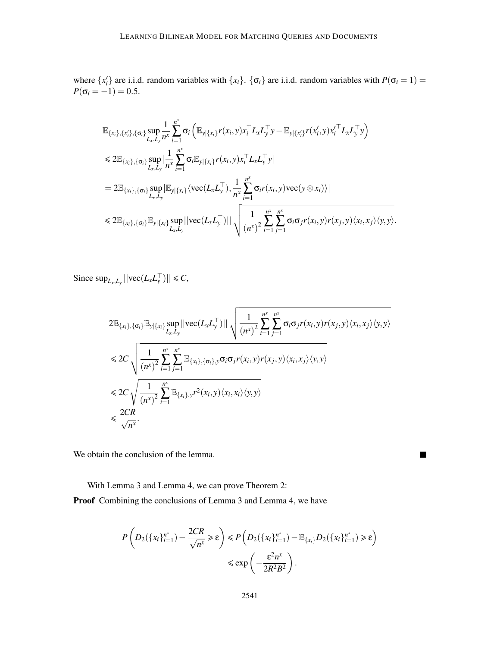where  $\{x_i'\}$  are i.i.d. random variables with  $\{x_i\}$ .  $\{\sigma_i\}$  are i.i.d. random variables with  $P(\sigma_i = 1)$  $P(\sigma_i = -1) = 0.5$ .

$$
\mathbb{E}_{\{x_i\},\{x_i'\},\{\sigma_i\}} \sup_{L_x,L_y} \frac{1}{n^x} \sum_{i=1}^{n^x} \sigma_i \left( \mathbb{E}_{y|\{x_i\}} r(x_i, y) x_i^\top L_x L_y^\top y - \mathbb{E}_{y|\{x_i'\}} r(x_i', y) x_i^\top L_x L_y^\top y \right) \n\leq 2 \mathbb{E}_{\{x_i\},\{\sigma_i\}} \sup_{L_x,L_y} \left| \frac{1}{n^x} \sum_{i=1}^{n^x} \sigma_i \mathbb{E}_{y|\{x_i\}} r(x_i, y) x_i^\top L_x L_y^\top y \right| \n= 2 \mathbb{E}_{\{x_i\},\{\sigma_i\}} \sup_{L_x,L_y} \left| \mathbb{E}_{y|\{x_i\}} \langle \text{vec}(L_x L_y^\top), \frac{1}{n^x} \sum_{i=1}^{n^x} \sigma_i r(x_i, y) \text{vec}(y \otimes x_i) \rangle \right| \n\leq 2 \mathbb{E}_{\{x_i\},\{\sigma_i\}} \mathbb{E}_{y|\{x_i\}} \sup_{L_x,L_y} \left| |\text{vec}(L_x L_y^\top)| \right| \sqrt{\frac{1}{(n^x)^2} \sum_{i=1}^{n^x} \sum_{j=1}^{n^x} \sigma_i \sigma_j r(x_i, y) r(x_j, y) \langle x_i, x_j \rangle \langle y, y \rangle}.
$$

Since  $\sup_{L_x, L_y} || \text{vec}(L_x L_y^{\top}) || \leq C$ ,

$$
2\mathbb{E}_{\{x_i\},\{\sigma_i\}}\mathbb{E}_{y|\{x_i\}}\sup_{L_x,L_y}||\text{vec}(L_xL_y^{\top})|| \sqrt{\frac{1}{(n^x)^2}\sum_{i=1}^{n^x}\sum_{j=1}^{n^x}\sigma_i\sigma_j r(x_i,y)r(x_j,y)\langle x_i,x_j\rangle\langle y,y\rangle}
$$
  
\n
$$
\leq 2C\sqrt{\frac{1}{(n^x)^2}\sum_{i=1}^{n^x}\sum_{j=1}^{n^x}\mathbb{E}_{\{x_i\},\{\sigma_i\},y}\sigma_i\sigma_j r(x_i,y)r(x_j,y)\langle x_i,x_j\rangle\langle y,y\rangle}
$$
  
\n
$$
\leq 2C\sqrt{\frac{1}{(n^x)^2}\sum_{i=1}^{n^x}\mathbb{E}_{\{x_i\},y}r^2(x_i,y)\langle x_i,x_i\rangle\langle y,y\rangle}
$$
  
\n
$$
\leq \frac{2CR}{\sqrt{n^x}}.
$$

 $\blacksquare$ 

We obtain the conclusion of the lemma.

With Lemma 3 and Lemma 4, we can prove Theorem 2:

Proof Combining the conclusions of Lemma 3 and Lemma 4, we have

$$
P\left(D_2(\lbrace x_i \rbrace_{i=1}^{n^x}) - \frac{2CR}{\sqrt{n^x}} \ge \varepsilon\right) \le P\left(D_2(\lbrace x_i \rbrace_{i=1}^{n^x}) - \mathbb{E}_{\lbrace x_i \rbrace} D_2(\lbrace x_i \rbrace_{i=1}^{n^x}) \ge \varepsilon\right) \le \exp\left(-\frac{\varepsilon^2 n^x}{2R^2 B^2}\right).
$$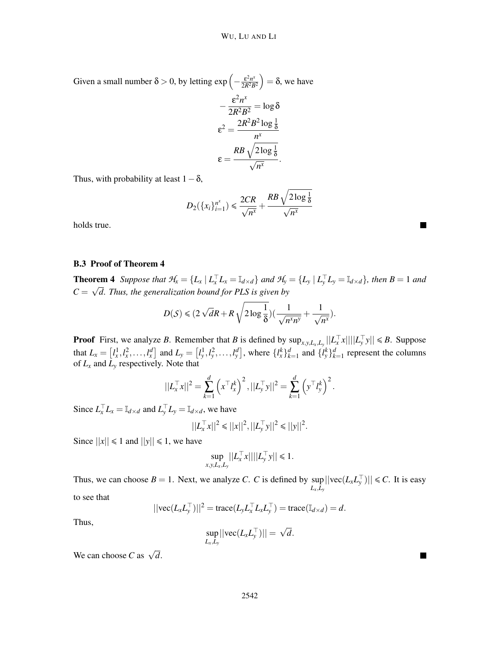Given a small number  $\delta > 0$ , by letting  $\exp\left(-\frac{\varepsilon^2 n^x}{2R^2 B}\right)$  $\left(\frac{\varepsilon^2 n^x}{2R^2 B^2}\right) = \delta$ , we have −  $\varepsilon^2 n^x$  $\frac{e^h}{2R^2B^2}$  = log  $\delta$  $\varepsilon^2 = \frac{2R^2B^2\log\frac{1}{\delta}}{r}$ *n x*  $\varepsilon =$  $\frac{RB\,\sqrt{2\log\frac{1}{\delta}}}{\sqrt{n^\mathrm{x}}}.$ 

Thus, with probability at least  $1-\delta$ ,

$$
D_2({x_i}_{i=1}^{n^x}) \le \frac{2CR}{\sqrt{n^x}} + \frac{RB\sqrt{2\log\frac{1}{\delta}}}{\sqrt{n^x}}
$$

holds true.

#### B.3 Proof of Theorem 4

**Theorem 4** Suppose that  $\mathcal{H}_x = \{L_x | L_x^\top L_x = \mathbb{I}_{d \times d}\}\$ and  $\mathcal{H}_y = \{L_y | L_y^\top L_y = \mathbb{I}_{d \times d}\}\$ , then  $B = 1$  and  $C = \sqrt{d}$ . Thus, the generalization bound for PLS is given by

$$
D(S) \leq (2\sqrt{d}R + R\sqrt{2\log\frac{1}{\delta}})(\frac{1}{\sqrt{n^x n^y}} + \frac{1}{\sqrt{n^x}}).
$$

**Proof** First, we analyze *B*. Remember that *B* is defined by  $\sup_{x,y,L_x,L_y}||L_x^{\top}x|| ||L_y^{\top}y|| \le B$ . Suppose  $|y \mathcal{X}| \leq |y|$ that  $L_x = [l_x^1, l_x^2, \dots, l_x^d]$  and  $L_y = [l_y^1, l_y^2, \dots, l_y^d]$ , where  $\{l_x^k\}_{k=1}^d$  and  $\{l_y^k\}_{k=1}^d$  represent the columns of *L<sup>x</sup>* and *L<sup>y</sup>* respectively. Note that

$$
||L_x^{\top} x||^2 = \sum_{k=1}^d \left( x^{\top} l_x^k \right)^2, ||L_y^{\top} y||^2 = \sum_{k=1}^d \left( y^{\top} l_y^k \right)^2.
$$

Since  $L_x^{\top} L_x = \mathbb{I}_{d \times d}$  and  $L_y^{\top} L_y = \mathbb{I}_{d \times d}$ , we have

$$
||L_x^\top x||^2 \leq ||x||^2, ||L_y^\top y||^2 \leq ||y||^2.
$$

Since  $||x|| \le 1$  and  $||y|| \le 1$ , we have

$$
\sup_{x,y,L_x,L_y}||L_x^\top x||||L_y^\top y|| \leq 1.
$$

Thus, we can choose  $B = 1$ . Next, we analyze *C*. *C* is defined by sup  $\sup_{L_x, L_y}$ ||vec(*L*<sub>*x*</sub>*L*<sub>*y*</sub></sub><sup>−</sup>)|| ≤ *C*. It is easy to see that

$$
||\text{vec}(L_x L_y^\top)||^2 = \text{trace}(L_y L_x^\top L_x L_y^\top) = \text{trace}(\mathbb{I}_{d \times d}) = d.
$$

Thus,

$$
\sup_{L_x,L_y}||\text{vec}(L_xL_y^{\top})||=\sqrt{d}.
$$

We can choose *C* as  $\sqrt{d}$ .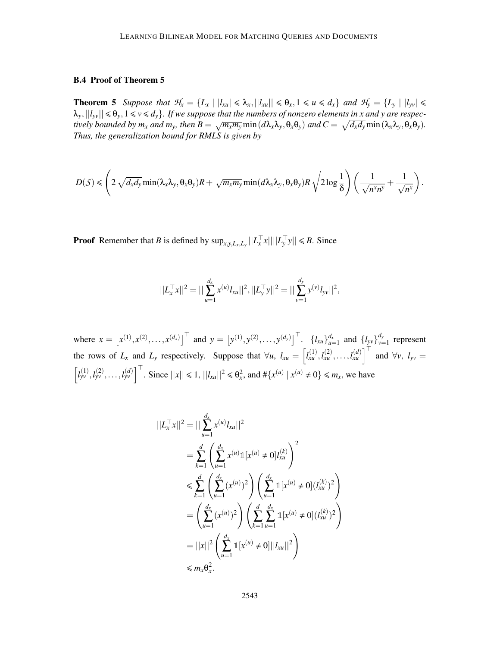#### B.4 Proof of Theorem 5

**Theorem 5** Suppose that  $\mathcal{H}_x = \{L_x \mid |l_{x} \leq \lambda_x, |l_{x} \leq \theta_x, 1 \leq u \leq d_x\}$  and  $\mathcal{H}_y = \{L_y \mid |l_{yy}| \leq \theta_x, 1 \leq u \leq d_x\}$  $\lambda_y, ||l_{yy}|| \leq \theta_y, 1 \leq v \leq d_y$ . If we suppose that the numbers of nonzero elements in x and y are respectively bounded by  $m_x$  and  $m_y$ , then  $B = \sqrt{m_x m_y} \min (d\lambda_x \lambda_y, \theta_x \theta_y)$  and  $C = \sqrt{d_x d_y} \min (\lambda_x \lambda_y, \theta_x \theta_y)$ . *Thus, the generalization bound for RMLS is given by*

$$
D(\mathcal{S}) \leqslant \left(2\sqrt{d_xd_y}\min(\lambda_x\lambda_y,\theta_x\theta_y)R+\sqrt{m_xm_y}\min(d\lambda_x\lambda_y,\theta_x\theta_y)R\sqrt{2\log{\frac{1}{\delta}}}\right)\left(\frac{1}{\sqrt{n^xn^y}}+\frac{1}{\sqrt{n^x}}\right).
$$

**Proof** Remember that *B* is defined by  $\sup_{x,y,L_x,L_y}||L_x^{\top}x|| ||L_y^{\top}y|| \le B$ . Since

$$
||L_x^{\top} x||^2 = ||\sum_{u=1}^{d_x} x^{(u)} l_{xu}||^2, ||L_y^{\top} y||^2 = ||\sum_{v=1}^{d_y} y^{(v)} l_{yv}||^2,
$$

where  $x = [x^{(1)}, x^{(2)}, \dots, x^{(d_x)}]^\top$  and  $y = [y^{(1)}, y^{(2)}, \dots, y^{(d_y)}]^\top$ .  $\{l_{xu}\}_{u=1}^{d_x}$  and  $\{l_{yv}\}_{v=1}^{d_y}$  $v_{v=1}^{a_y}$  represent the rows of  $L_x$  and  $L_y$  respectively. Suppose that  $\forall u, l_{xu} = \left[ l_{xu}^{(1)}, l_{xu}^{(2)}, \dots, l_{xu}^{(d)} \right]^\top$  and  $\forall v, l_{yv} =$  $\left[l_{yv}^{(1)}, l_{yv}^{(2)}, \ldots, l_{yv}^{(d)}\right]^{\top}$ . Since  $||x|| \le 1$ ,  $||l_{xu}||^2 \le \theta_x^2$ , and  $\#\{x^{(u)} | x^{(u)} \ne 0\} \le m_x$ , we have

$$
||L_x^T x||^2 = ||\sum_{u=1}^{d_x} x^{(u)} l_{xu}||^2
$$
  
= 
$$
\sum_{k=1}^{d} \left( \sum_{u=1}^{d_x} x^{(u)} 1[x^{(u)} \neq 0] l_{xu}^{(k)} \right)^2
$$
  

$$
\leqslant \sum_{k=1}^{d} \left( \sum_{u=1}^{d_x} (x^{(u)})^2 \right) \left( \sum_{u=1}^{d_x} 1[x^{(u)} \neq 0] (l_{xu}^{(k)})^2 \right)
$$
  
= 
$$
\left( \sum_{u=1}^{d_x} (x^{(u)})^2 \right) \left( \sum_{k=1}^{d_x} \sum_{u=1}^{d_x} 1[x^{(u)} \neq 0] (l_{xu}^{(k)})^2 \right)
$$
  
= 
$$
||x||^2 \left( \sum_{u=1}^{d_x} 1[x^{(u)} \neq 0] ||l_{xu}||^2 \right)
$$
  

$$
\leqslant m_x \theta_x^2.
$$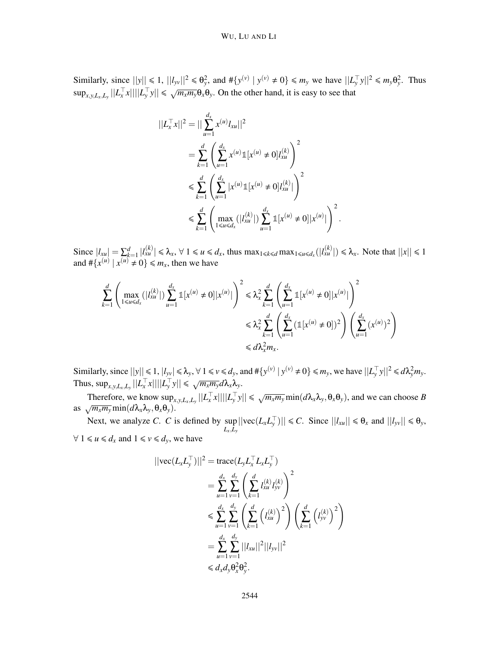#### WU, LU AND LI

Similarly, since  $||y|| \le 1$ ,  $||l_{yv}||^2 \le \theta_y^2$ , and  $\#\{y^{(v)} \mid y^{(v)} \ne 0\} \le m_y$  we have  $||L_y^{\top}y||^2 \le m_y \theta_y^2$ . Thus  $\sup_{x,y,L_x,L_y}||L_x^T x||||L_y^T y|| \le \sqrt{m_x m_y} \theta_x \theta_y$ . On the other hand, it is easy to see that

$$
||L_x^T x||^2 = ||\sum_{u=1}^{d_x} x^{(u)} l_{xu}||^2
$$
  
= 
$$
\sum_{k=1}^{d} \left( \sum_{u=1}^{d_x} x^{(u)} 1[x^{(u)} \neq 0] l_{xu}^{(k)} \right)^2
$$
  

$$
\leq \sum_{k=1}^{d} \left( \sum_{u=1}^{d_x} |x^{(u)} 1[x^{(u)} \neq 0] l_{xu}^{(k)}| \right)^2
$$
  

$$
\leq \sum_{k=1}^{d} \left( \max_{1 \leq u \leq d_x} (|l_{xu}^{(k)}|) \sum_{u=1}^{d_x} 1[x^{(u)} \neq 0] |x^{(u)}| \right)^2.
$$

Since  $|l_{xu}| = \sum_{k=1}^d |l_{xu}^{(k)}| \leq \lambda_x$ ,  $\forall 1 \leq u \leq d_x$ , thus  $\max_{1 \leq k \leq d} \max_{1 \leq u \leq d_x} (|l_{xu}^{(k)}|) \leq \lambda_x$ . Note that  $||x|| \leq 1$ and  $\# \{x^{(u)} | x^{(u)} \neq 0\} \le m_x$ , then we have

$$
\sum_{k=1}^{d} \left( \max_{1 \le u \le d_x} (|l_{x}^{(k)}|) \sum_{u=1}^{d_x} \mathbb{1}[x^{(u)} \neq 0]|x^{(u)}| \right)^2 \le \lambda_x^2 \sum_{k=1}^{d} \left( \sum_{u=1}^{d_x} \mathbb{1}[x^{(u)} \neq 0]|x^{(u)}| \right)^2
$$
  

$$
\le \lambda_x^2 \sum_{k=1}^{d} \left( \sum_{u=1}^{d_x} (\mathbb{1}[x^{(u)} \neq 0])^2 \right) \left( \sum_{u=1}^{d_x} (x^{(u)})^2 \right)
$$
  

$$
\le d\lambda_x^2 m_x.
$$

Similarly, since  $||y|| \le 1$ ,  $|l_{yy}| \le \lambda_y$ ,  $\forall 1 \le v \le d_y$ , and  $\#\{y^{(v)} | y^{(v)} \ne 0\} \le m_y$ , we have  $||L_y^{\top}y||^2 \le d\lambda_y^2 m_y$ . Thus,  $\sup_{x,y,L_x,L_y}||L_x^{\top}x||||L_y^{\top}y|| \le \sqrt{m_xm_y}d\lambda_x\lambda_y$ .

Therefore, we know  $\sup_{x,y,L_x,L_y}||L_x^{\top}x||||L_y^{\top}y|| \leq \sqrt{m_xm_y}\min(d\lambda_x\lambda_y,\theta_x\theta_y)$ , and we can choose B as  $\sqrt{m_x m_y} \min(d\lambda_x \lambda_y, \theta_x \theta_y)$ .

Next, we analyze *C*. *C* is defined by sup  $\sup_{L_x, L_y}$  ||vec(*L*<sub>*x*</sub>*L*<sub>*y*</sub></sub>)||  $\leq C$ . Since  $||l_{xu}|| \leq \theta_x$  and  $||l_{yv}|| \leq \theta_y$ ,  $∀ 1 ≤ u ≤ d_x$  and  $1 ≤ v ≤ d_y$ , we have

$$
||\text{vec}(L_x L_y^{\top})||^2 = \text{trace}(L_y L_x^{\top} L_x L_y^{\top})
$$
  
\n
$$
= \sum_{u=1}^{d_x} \sum_{v=1}^{d_y} \left( \sum_{k=1}^d l_{xu}^{(k)} l_{yv}^{(k)} \right)^2
$$
  
\n
$$
\leq \sum_{u=1}^{d_x} \sum_{v=1}^{d_y} \left( \sum_{k=1}^d \left( l_{xu}^{(k)} \right)^2 \right) \left( \sum_{k=1}^d \left( l_{yv}^{(k)} \right)^2 \right)
$$
  
\n
$$
= \sum_{u=1}^{d_x} \sum_{v=1}^{d_y} ||l_{xu}||^2 ||l_{yv}||^2
$$
  
\n
$$
\leq d_x d_y \theta_x^2 \theta_y^2.
$$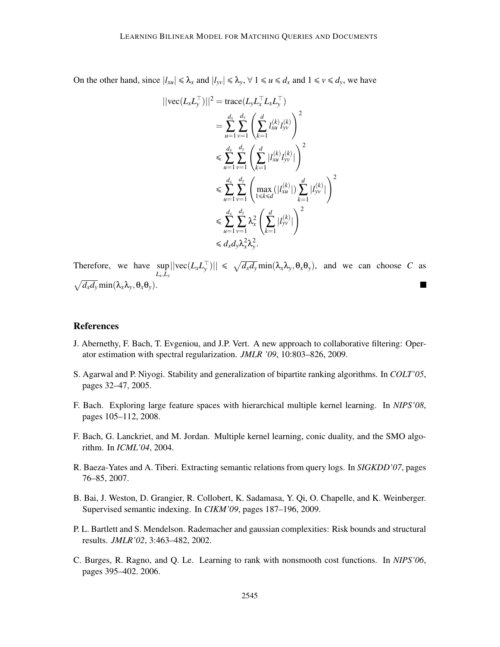On the other hand, since  $|l_{xu}| \le \lambda_x$  and  $|l_{yv}| \le \lambda_y$ ,  $\forall$  1  $\le u \le d_x$  and 1  $\le v \le d_y$ , we have

$$
||\text{vec}(L_x L_y^{\top})||^2 = \text{trace}(L_y L_x^{\top} L_x L_y^{\top})
$$
  
\n
$$
= \sum_{u=1}^{d_x} \sum_{v=1}^{d_y} \left( \sum_{k=1}^d l_{xu}^{(k)} l_{yv}^{(k)} \right)^2
$$
  
\n
$$
\leq \sum_{u=1}^{d_x} \sum_{v=1}^{d_y} \left( \sum_{k=1}^d |l_{xu}^{(k)} l_{yv}^{(k)}| \right)^2
$$
  
\n
$$
\leq \sum_{u=1}^{d_x} \sum_{v=1}^{d_y} \left( \max_{1 \leq k \leq d} (|l_{xu}^{(k)}|) \sum_{k=1}^d |l_{yv}^{(k)}| \right)^2
$$
  
\n
$$
\leq \sum_{u=1}^{d_x} \sum_{v=1}^{d_y} \lambda_x^2 \left( \sum_{k=1}^d |l_{yv}^{(k)}| \right)^2
$$
  
\n
$$
\leq d_x d_y \lambda_x^2 \lambda_y^2.
$$

Therefore, we have  $\sup_{x} ||\text{vec}(L_x L_y^{\top})|| \le \sqrt{d_x d_y} \min(\lambda_x \lambda_y, \theta_x \theta_y)$ , and we can choose *C* as  $L_x, L_y$  $\sqrt{d_x d_y}$  min $(\lambda_x \lambda_y, \theta_x \theta_y)$ .  $\blacksquare$ 

#### References

- J. Abernethy, F. Bach, T. Evgeniou, and J.P. Vert. A new approach to collaborative filtering: Operator estimation with spectral regularization. *JMLR '09*, 10:803–826, 2009.
- S. Agarwal and P. Niyogi. Stability and generalization of bipartite ranking algorithms. In *COLT'05*, pages 32–47, 2005.
- F. Bach. Exploring large feature spaces with hierarchical multiple kernel learning. In *NIPS'08*, pages 105–112, 2008.
- F. Bach, G. Lanckriet, and M. Jordan. Multiple kernel learning, conic duality, and the SMO algorithm. In *ICML'04*, 2004.
- R. Baeza-Yates and A. Tiberi. Extracting semantic relations from query logs. In *SIGKDD'07*, pages 76–85, 2007.
- B. Bai, J. Weston, D. Grangier, R. Collobert, K. Sadamasa, Y. Qi, O. Chapelle, and K. Weinberger. Supervised semantic indexing. In *CIKM'09*, pages 187–196, 2009.
- P. L. Bartlett and S. Mendelson. Rademacher and gaussian complexities: Risk bounds and structural results. *JMLR'02*, 3:463–482, 2002.
- C. Burges, R. Ragno, and Q. Le. Learning to rank with nonsmooth cost functions. In *NIPS'06*, pages 395–402. 2006.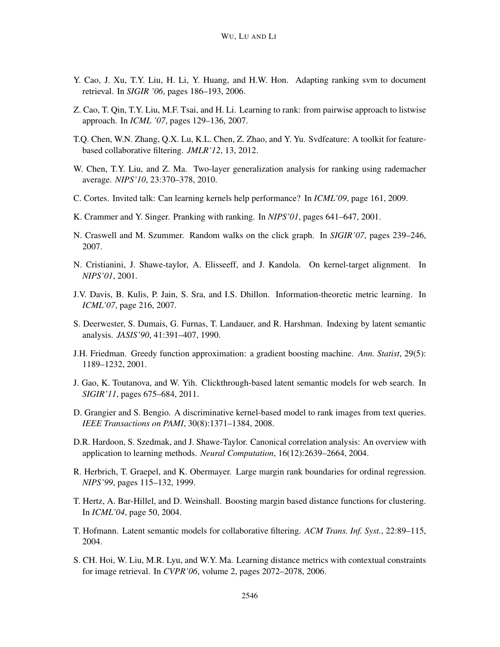- Y. Cao, J. Xu, T.Y. Liu, H. Li, Y. Huang, and H.W. Hon. Adapting ranking svm to document retrieval. In *SIGIR '06*, pages 186–193, 2006.
- Z. Cao, T. Qin, T.Y. Liu, M.F. Tsai, and H. Li. Learning to rank: from pairwise approach to listwise approach. In *ICML '07*, pages 129–136, 2007.
- T.Q. Chen, W.N. Zhang, Q.X. Lu, K.L. Chen, Z. Zhao, and Y. Yu. Svdfeature: A toolkit for featurebased collaborative filtering. *JMLR'12*, 13, 2012.
- W. Chen, T.Y. Liu, and Z. Ma. Two-layer generalization analysis for ranking using rademacher average. *NIPS'10*, 23:370–378, 2010.
- C. Cortes. Invited talk: Can learning kernels help performance? In *ICML'09*, page 161, 2009.
- K. Crammer and Y. Singer. Pranking with ranking. In *NIPS'01*, pages 641–647, 2001.
- N. Craswell and M. Szummer. Random walks on the click graph. In *SIGIR'07*, pages 239–246, 2007.
- N. Cristianini, J. Shawe-taylor, A. Elisseeff, and J. Kandola. On kernel-target alignment. In *NIPS'01*, 2001.
- J.V. Davis, B. Kulis, P. Jain, S. Sra, and I.S. Dhillon. Information-theoretic metric learning. In *ICML'07*, page 216, 2007.
- S. Deerwester, S. Dumais, G. Furnas, T. Landauer, and R. Harshman. Indexing by latent semantic analysis. *JASIS'90*, 41:391–407, 1990.
- J.H. Friedman. Greedy function approximation: a gradient boosting machine. *Ann. Statist*, 29(5): 1189–1232, 2001.
- J. Gao, K. Toutanova, and W. Yih. Clickthrough-based latent semantic models for web search. In *SIGIR'11*, pages 675–684, 2011.
- D. Grangier and S. Bengio. A discriminative kernel-based model to rank images from text queries. *IEEE Transactions on PAMI*, 30(8):1371–1384, 2008.
- D.R. Hardoon, S. Szedmak, and J. Shawe-Taylor. Canonical correlation analysis: An overview with application to learning methods. *Neural Computation*, 16(12):2639–2664, 2004.
- R. Herbrich, T. Graepel, and K. Obermayer. Large margin rank boundaries for ordinal regression. *NIPS'99*, pages 115–132, 1999.
- T. Hertz, A. Bar-Hillel, and D. Weinshall. Boosting margin based distance functions for clustering. In *ICML'04*, page 50, 2004.
- T. Hofmann. Latent semantic models for collaborative filtering. *ACM Trans. Inf. Syst.*, 22:89–115, 2004.
- S. CH. Hoi, W. Liu, M.R. Lyu, and W.Y. Ma. Learning distance metrics with contextual constraints for image retrieval. In *CVPR'06*, volume 2, pages 2072–2078, 2006.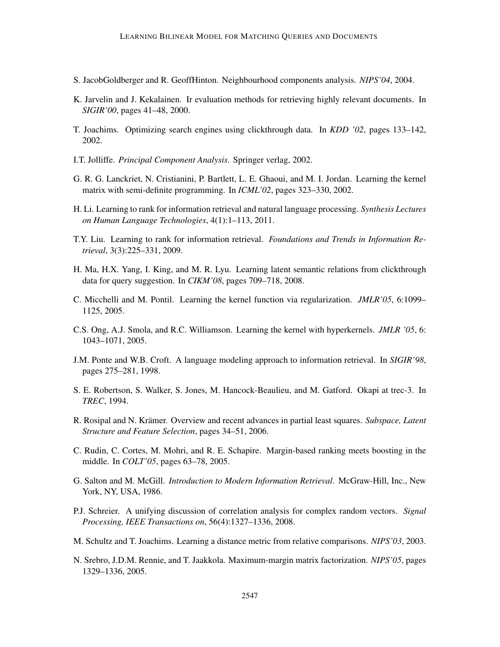- S. JacobGoldberger and R. GeoffHinton. Neighbourhood components analysis. *NIPS'04*, 2004.
- K. Jarvelin and J. Kekalainen. Ir evaluation methods for retrieving highly relevant documents. In *SIGIR'00*, pages 41–48, 2000.
- T. Joachims. Optimizing search engines using clickthrough data. In *KDD '02*, pages 133–142, 2002.
- I.T. Jolliffe. *Principal Component Analysis*. Springer verlag, 2002.
- G. R. G. Lanckriet, N. Cristianini, P. Bartlett, L. E. Ghaoui, and M. I. Jordan. Learning the kernel matrix with semi-definite programming. In *ICML'02*, pages 323–330, 2002.
- H. Li. Learning to rank for information retrieval and natural language processing. *Synthesis Lectures on Human Language Technologies*, 4(1):1–113, 2011.
- T.Y. Liu. Learning to rank for information retrieval. *Foundations and Trends in Information Retrieval*, 3(3):225–331, 2009.
- H. Ma, H.X. Yang, I. King, and M. R. Lyu. Learning latent semantic relations from clickthrough data for query suggestion. In *CIKM'08*, pages 709–718, 2008.
- C. Micchelli and M. Pontil. Learning the kernel function via regularization. *JMLR'05*, 6:1099– 1125, 2005.
- C.S. Ong, A.J. Smola, and R.C. Williamson. Learning the kernel with hyperkernels. *JMLR '05*, 6: 1043–1071, 2005.
- J.M. Ponte and W.B. Croft. A language modeling approach to information retrieval. In *SIGIR'98*, pages 275–281, 1998.
- S. E. Robertson, S. Walker, S. Jones, M. Hancock-Beaulieu, and M. Gatford. Okapi at trec-3. In *TREC*, 1994.
- R. Rosipal and N. Krämer. Overview and recent advances in partial least squares. *Subspace, Latent Structure and Feature Selection*, pages 34–51, 2006.
- C. Rudin, C. Cortes, M. Mohri, and R. E. Schapire. Margin-based ranking meets boosting in the middle. In *COLT'05*, pages 63–78, 2005.
- G. Salton and M. McGill. *Introduction to Modern Information Retrieval*. McGraw-Hill, Inc., New York, NY, USA, 1986.
- P.J. Schreier. A unifying discussion of correlation analysis for complex random vectors. *Signal Processing, IEEE Transactions on*, 56(4):1327–1336, 2008.
- M. Schultz and T. Joachims. Learning a distance metric from relative comparisons. *NIPS'03*, 2003.
- N. Srebro, J.D.M. Rennie, and T. Jaakkola. Maximum-margin matrix factorization. *NIPS'05*, pages 1329–1336, 2005.